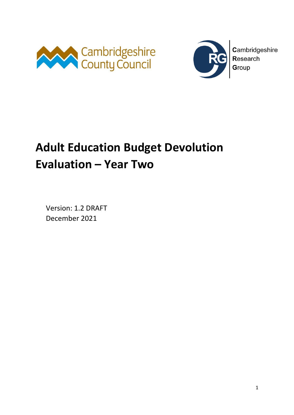



Cambridgeshire Research Group

# **Adult Education Budget Devolution Evaluation – Year Two**

Version: 1.2 DRAFT December 2021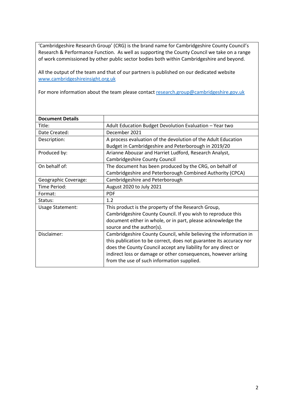'Cambridgeshire Research Group' (CRG) is the brand name for Cambridgeshire County Council's Research & Performance Function. As well as supporting the County Council we take on a range of work commissioned by other public sector bodies both within Cambridgeshire and beyond.

All the output of the team and that of our partners is published on our dedicated website [www.cambridgeshireinsight.org.uk](http://www.cambridgeshireinsight.org.uk/)

For more information about the team please contact [research.group@cambridgeshire.gov.uk](mailto:research.group@cambridgeshire.gov.uk)

| Adult Education Budget Devolution Evaluation - Year two             |
|---------------------------------------------------------------------|
| December 2021                                                       |
| A process evaluation of the devolution of the Adult Education       |
| Budget in Cambridgeshire and Peterborough in 2019/20                |
| Arianne Abouzar and Harriet Ludford, Research Analyst,              |
| Cambridgeshire County Council                                       |
| The document has been produced by the CRG, on behalf of             |
| Cambridgeshire and Peterborough Combined Authority (CPCA)           |
| Cambridgeshire and Peterborough                                     |
| August 2020 to July 2021                                            |
| <b>PDF</b>                                                          |
| 1.2                                                                 |
| This product is the property of the Research Group,                 |
| Cambridgeshire County Council. If you wish to reproduce this        |
| document either in whole, or in part, please acknowledge the        |
| source and the author(s).                                           |
| Cambridgeshire County Council, while believing the information in   |
| this publication to be correct, does not guarantee its accuracy nor |
| does the County Council accept any liability for any direct or      |
| indirect loss or damage or other consequences, however arising      |
| from the use of such information supplied.                          |
|                                                                     |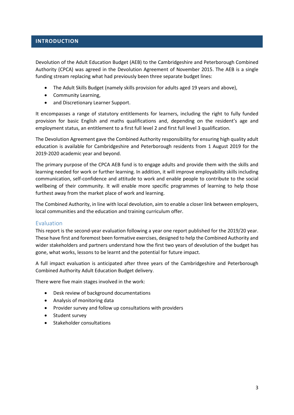#### **INTRODUCTION**

Devolution of the Adult Education Budget (AEB) to the Cambridgeshire and Peterborough Combined Authority (CPCA) was agreed in the Devolution Agreement of November 2015. The AEB is a single funding stream replacing what had previously been three separate budget lines:

- The Adult Skills Budget (namely skills provision for adults aged 19 years and above),
- Community Learning,
- and Discretionary Learner Support.

It encompasses a range of statutory entitlements for learners, including the right to fully funded provision for basic English and maths qualifications and, depending on the resident's age and employment status, an entitlement to a first full level 2 and first full level 3 qualification.

The Devolution Agreement gave the Combined Authority responsibility for ensuring high quality adult education is available for Cambridgeshire and Peterborough residents from 1 August 2019 for the 2019-2020 academic year and beyond.

The primary purpose of the CPCA AEB fund is to engage adults and provide them with the skills and learning needed for work or further learning. In addition, it will improve employability skills including communication, self-confidence and attitude to work and enable people to contribute to the social wellbeing of their community. It will enable more specific programmes of learning to help those furthest away from the market place of work and learning.

The Combined Authority, in line with local devolution, aim to enable a closer link between employers, local communities and the education and training curriculum offer.

#### Evaluation

This report is the second-year evaluation following a year one report published for the 2019/20 year. These have first and foremost been formative exercises, designed to help the Combined Authority and wider stakeholders and partners understand how the first two years of devolution of the budget has gone, what works, lessons to be learnt and the potential for future impact.

A full impact evaluation is anticipated after three years of the Cambridgeshire and Peterborough Combined Authority Adult Education Budget delivery.

There were five main stages involved in the work:

- Desk review of background documentations
- Analysis of monitoring data
- Provider survey and follow up consultations with providers
- Student survey
- Stakeholder consultations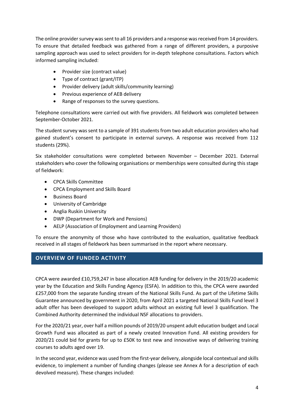The online provider survey was sent to all 16 providers and a response was received from 14 providers. To ensure that detailed feedback was gathered from a range of different providers, a purposive sampling approach was used to select providers for in-depth telephone consultations. Factors which informed sampling included:

- Provider size (contract value)
- Type of contract (grant/ITP)
- Provider delivery (adult skills/community learning)
- Previous experience of AEB delivery
- Range of responses to the survey questions.

Telephone consultations were carried out with five providers. All fieldwork was completed between September-October 2021.

The student survey was sent to a sample of 391 students from two adult education providers who had gained student's consent to participate in external surveys. A response was received from 112 students (29%).

Six stakeholder consultations were completed between November – December 2021. External stakeholders who cover the following organisations or memberships were consulted during this stage of fieldwork:

- CPCA Skills Committee
- CPCA Employment and Skills Board
- Business Board
- University of Cambridge
- Anglia Ruskin University
- DWP (Department for Work and Pensions)
- AELP (Association of Employment and Learning Providers)

To ensure the anonymity of those who have contributed to the evaluation, qualitative feedback received in all stages of fieldwork has been summarised in the report where necessary.

#### **OVERVIEW OF FUNDED ACTIVITY**

CPCA were awarded £10,759,247 in base allocation AEB funding for delivery in the 2019/20 academic year by the Education and Skills Funding Agency (ESFA). In addition to this, the CPCA were awarded £257,000 from the separate funding stream of the National Skills Fund. As part of the Lifetime Skills Guarantee announced by government in 2020, from April 2021 a targeted National Skills Fund level 3 adult offer has been developed to support adults without an existing full level 3 qualification. The Combined Authority determined the individual NSF allocations to providers.

For the 2020/21 year, over half a million pounds of 2019/20 unspent adult education budget and Local Growth Fund was allocated as part of a newly created Innovation Fund. All existing providers for 2020/21 could bid for grants for up to £50K to test new and innovative ways of delivering training courses to adults aged over 19.

In the second year, evidence was used from the first-year delivery, alongside local contextual and skills evidence, to implement a number of funding changes (please see Annex A for a description of each devolved measure). These changes included: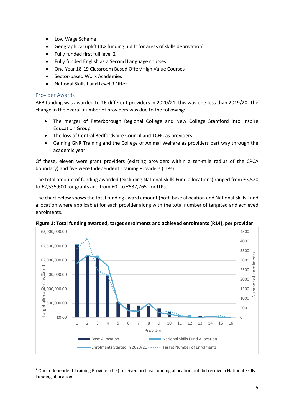- Low Wage Scheme
- Geographical uplift (4% funding uplift for areas of skills deprivation)
- Fully funded first full level 2
- Fully funded English as a Second Language courses
- One Year 18-19 Classroom Based Offer/High Value Courses
- Sector-based Work Academies
- National Skills Fund Level 3 Offer

#### Provider Awards

AEB funding was awarded to 16 different providers in 2020/21, this was one less than 2019/20. The change in the overall number of providers was due to the following:

- The merger of Peterborough Regional College and New College Stamford into Inspire Education Group
- The loss of Central Bedfordshire Council and TCHC as providers
- Gaining GNR Training and the College of Animal Welfare as providers part way through the academic year

Of these, eleven were grant providers (existing providers within a ten-mile radius of the CPCA boundary) and five were Independent Training Providers (ITPs).

The total amount of funding awarded (excluding National Skills Fund allocations) ranged from £3,520 to £2,535,600 for grants and from  $£0<sup>1</sup>$  to £537,765 for ITPs.

The chart below shows the total funding award amount (both base allocation and National Skills Fund allocation where applicable) for each provider along with the total number of targeted and achieved enrolments.



**Figure 1: Total funding awarded, target enrolments and achieved enrolments (R14), per provider**

<sup>&</sup>lt;sup>1</sup> One Independent Training Provider (ITP) received no base funding allocation but did receive a National Skills Funding allocation.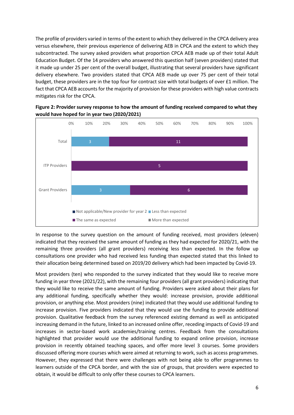The profile of providers varied in terms of the extent to which they delivered in the CPCA delivery area versus elsewhere, their previous experience of delivering AEB in CPCA and the extent to which they subcontracted. The survey asked providers what proportion CPCA AEB made up of their total Adult Education Budget. Of the 14 providers who answered this question half (seven providers) stated that it made up under 25 per cent of the overall budget, illustrating that several providers have significant delivery elsewhere. Two providers stated that CPCA AEB made up over 75 per cent of their total budget, these providers are in the top four for contract size with total budgets of over £1 million. The fact that CPCA AEB accounts for the majority of provision for these providers with high value contracts mitigates risk for the CPCA.



**Figure 2: Provider survey response to how the amount of funding received compared to what they would have hoped for in year two (2020/2021)**

In response to the survey question on the amount of funding received, most providers (eleven) indicated that they received the same amount of funding as they had expected for 2020/21, with the remaining three providers (all grant providers) receiving less than expected. In the follow up consultations one provider who had received less funding than expected stated that this linked to their allocation being determined based on 2019/20 delivery which had been impacted by Covid-19.

Most providers (ten) who responded to the survey indicated that they would like to receive more funding in year three (2021/22), with the remaining four providers (all grant providers) indicating that they would like to receive the same amount of funding. Providers were asked about their plans for any additional funding, specifically whether they would: increase provision, provide additional provision, or anything else. Most providers (nine) indicated that they would use additional funding to increase provision. Five providers indicated that they would use the funding to provide additional provision. Qualitative feedback from the survey referenced existing demand as well as anticipated increasing demand in the future, linked to an increased online offer, receding impacts of Covid-19 and increases in sector-based work academies/training centres. Feedback from the consultations highlighted that provider would use the additional funding to expand online provision, increase provision in recently obtained teaching spaces, and offer more level 3 courses. Some providers discussed offering more courses which were aimed at returning to work, such as access programmes. However, they expressed that there were challenges with not being able to offer programmes to learners outside of the CPCA border, and with the size of groups, that providers were expected to obtain, it would be difficult to only offer these courses to CPCA learners.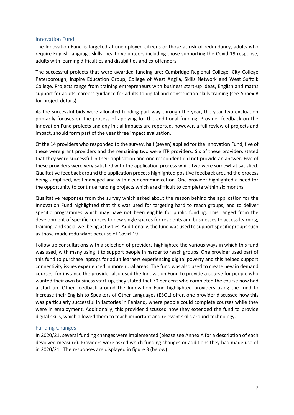#### Innovation Fund

The Innovation Fund is targeted at unemployed citizens or those at risk-of-redundancy, adults who require English language skills, health volunteers including those supporting the Covid-19 response, adults with learning difficulties and disabilities and ex-offenders. 

The successful projects that were awarded funding are: Cambridge Regional College, City College Peterborough, Inspire Education Group, College of West Anglia, Skills Network and West Suffolk College. Projects range from training entrepreneurs with business start-up ideas, English and maths support for adults, careers guidance for adults to digital and construction skills training (see Annex B for project details).

As the successful bids were allocated funding part way through the year, the year two evaluation primarily focuses on the process of applying for the additional funding. Provider feedback on the Innovation Fund projects and any initial impacts are reported, however, a full review of projects and impact, should form part of the year three impact evaluation.

Of the 14 providers who responded to the survey, half (seven) applied for the Innovation Fund, five of these were grant providers and the remaining two were ITP providers. Six of these providers stated that they were successful in their application and one respondent did not provide an answer. Five of these providers were very satisfied with the application process while two were somewhat satisfied. Qualitative feedback around the application process highlighted positive feedback around the process being simplified, well managed and with clear communication. One provider highlighted a need for the opportunity to continue funding projects which are difficult to complete within six months.

Qualitative responses from the survey which asked about the reason behind the application for the Innovation Fund highlighted that this was used for targeting hard to reach groups, and to deliver specific programmes which may have not been eligible for public funding. This ranged from the development of specific courses to new single spaces for residents and businesses to access learning, training, and social wellbeing activities. Additionally, the fund was used to support specific groups such as those made redundant because of Covid-19.

Follow up consultations with a selection of providers highlighted the various ways in which this fund was used, with many using it to support people in harder to reach groups. One provider used part of this fund to purchase laptops for adult learners experiencing digital poverty and this helped support connectivity issues experienced in more rural areas. The fund was also used to create new in demand courses, for instance the provider also used the Innovation Fund to provide a course for people who wanted their own business start-up, they stated that 70 per cent who completed the course now had a start-up. Other feedback around the Innovation Fund highlighted providers using the fund to increase their English to Speakers of Other Languages (ESOL) offer, one provider discussed how this was particularly successful in factories in Fenland, where people could complete courses while they were in employment. Additionally, this provider discussed how they extended the fund to provide digital skills, which allowed them to teach important and relevant skills around technology.

#### <span id="page-6-0"></span>Funding Changes

In 2020/21, several funding changes were implemented (please see Annex A for a description of each devolved measure). Providers were asked which funding changes or additions they had made use of in 2020/21. The responses are displayed in figure 3 (below).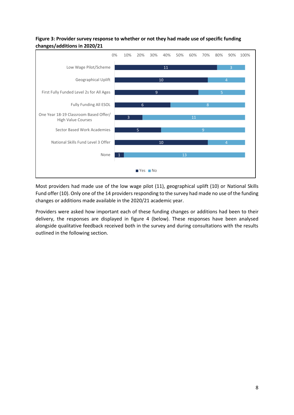#### **Figure 3: Provider survey response to whether or not they had made use of specific funding changes/additions in 2020/21**



Most providers had made use of the low wage pilot (11), geographical uplift (10) or National Skills Fund offer (10). Only one of the 14 providers responding to the survey had made no use of the funding changes or additions made available in the 2020/21 academic year.

Providers were asked how important each of these funding changes or additions had been to their delivery, the responses are displayed in figure 4 (below). These responses have been analysed alongside qualitative feedback received both in the survey and during consultations with the results outlined in the following section.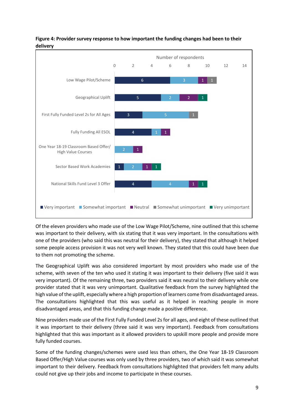

#### **Figure 4: Provider survey response to how important the funding changes had been to their delivery**

Of the eleven providers who made use of the Low Wage Pilot/Scheme, nine outlined that this scheme was important to their delivery, with six stating that it was very important. In the consultations with one of the providers (who said this was neutral for their delivery), they stated that although it helped some people access provision it was not very well known. They stated that this could have been due to them not promoting the scheme.

The Geographical Uplift was also considered important by most providers who made use of the scheme, with seven of the ten who used it stating it was important to their delivery (five said it was very important). Of the remaining three, two providers said it was neutral to their delivery while one provider stated that it was very unimportant. Qualitative feedback from the survey highlighted the high value of the uplift, especially where a high proportion of learners come from disadvantaged areas. The consultations highlighted that this was useful as it helped in reaching people in more disadvantaged areas, and that this funding change made a positive difference.

Nine providers made use of the First Fully Funded Level 2s for all ages, and eight of these outlined that it was important to their delivery (three said it was very important). Feedback from consultations highlighted that this was important as it allowed providers to upskill more people and provide more fully funded courses.

Some of the funding changes/schemes were used less than others, the One Year 18-19 Classroom Based Offer/High Value courses was only used by three providers, two of which said it was somewhat important to their delivery. Feedback from consultations highlighted that providers felt many adults could not give up their jobs and income to participate in these courses.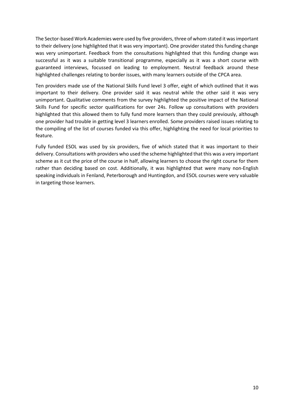The Sector-based Work Academies were used by five providers, three of whom stated it was important to their delivery (one highlighted that it was very important). One provider stated this funding change was very unimportant. Feedback from the consultations highlighted that this funding change was successful as it was a suitable transitional programme, especially as it was a short course with guaranteed interviews, focussed on leading to employment. Neutral feedback around these highlighted challenges relating to border issues, with many learners outside of the CPCA area.

Ten providers made use of the National Skills Fund level 3 offer, eight of which outlined that it was important to their delivery. One provider said it was neutral while the other said it was very unimportant. Qualitative comments from the survey highlighted the positive impact of the National Skills Fund for specific sector qualifications for over 24s. Follow up consultations with providers highlighted that this allowed them to fully fund more learners than they could previously, although one provider had trouble in getting level 3 learners enrolled. Some providers raised issues relating to the compiling of the list of courses funded via this offer, highlighting the need for local priorities to feature.

Fully funded ESOL was used by six providers, five of which stated that it was important to their delivery. Consultations with providers who used the scheme highlighted that this was a very important scheme as it cut the price of the course in half, allowing learners to choose the right course for them rather than deciding based on cost. Additionally, it was highlighted that were many non-English speaking individuals in Fenland, Peterborough and Huntingdon, and ESOL courses were very valuable in targeting those learners.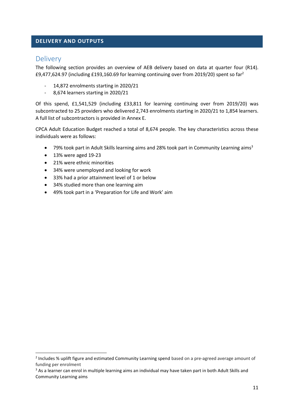#### **DELIVERY AND OUTPUTS**

## Delivery

The following section provides an overview of AEB delivery based on data at quarter four (R14). £9,477,624.97 (including £193,160.69 for learning continuing over from 2019/20) spent so far<sup>2</sup>

- 14,872 enrolments starting in 2020/21
- 8,674 learners starting in 2020/21

Of this spend, £1,541,529 (including £33,811 for learning continuing over from 2019/20) was subcontracted to 25 providers who delivered 2,743 enrolments starting in 2020/21 to 1,854 learners. A full list of subcontractors is provided in Annex E.

CPCA Adult Education Budget reached a total of 8,674 people. The key characteristics across these individuals were as follows:

- 79% took part in Adult Skills learning aims and 28% took part in Community Learning aims<sup>3</sup>
- 13% were aged 19-23
- 21% were ethnic minorities
- 34% were unemployed and looking for work
- 33% had a prior attainment level of 1 or below
- 34% studied more than one learning aim
- 49% took part in a 'Preparation for Life and Work' aim

<sup>&</sup>lt;sup>2</sup> Includes % uplift figure and estimated Community Learning spend based on a pre-agreed average amount of funding per enrolment

<sup>&</sup>lt;sup>3</sup> As a learner can enrol in multiple learning aims an individual may have taken part in both Adult Skills and Community Learning aims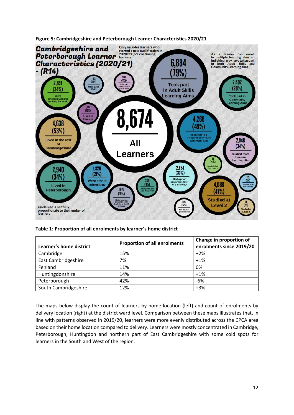

**Figure 5: Cambridgeshire and Peterborough Learner Characteristics 2020/21** 

**Table 1: Proportion of all enrolments by learner's home district**

| Learner's home district | <b>Proportion of all enrolments</b> | Change in proportion of<br>enrolments since 2019/20 |
|-------------------------|-------------------------------------|-----------------------------------------------------|
| Cambridge               | 15%                                 | $+2%$                                               |
| East Cambridgeshire     | 7%                                  | $+1%$                                               |
| Fenland                 | 11%                                 | 0%                                                  |
| Huntingdonshire         | 14%                                 | $+1%$                                               |
| Peterborough            | 42%                                 | $-6%$                                               |
| South Cambridgeshire    | 12%                                 | $+3%$                                               |

The maps below display the count of learners by home location (left) and count of enrolments by delivery location (right) at the district ward level. Comparison between these maps illustrates that, in line with patterns observed in 2019/20, learners were more evenly distributed across the CPCA area based on their home location compared to delivery. Learners were mostly concentrated in Cambridge, Peterborough, Huntingdon and northern part of East Cambridgeshire with some cold spots for learners in the South and West of the region.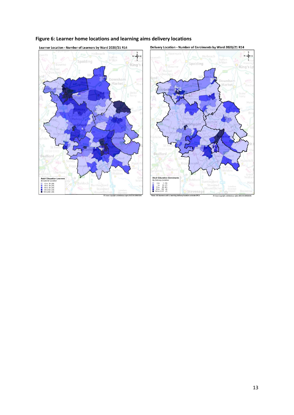

## **Figure 6: Learner home locations and learning aims delivery locations**



 $rac{1}{2}$ 

 $\overline{\phantom{0}}$ 

2021 05 1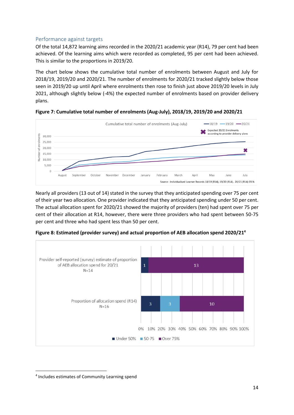#### Performance against targets

Of the total 14,872 learning aims recorded in the 2020/21 academic year (R14), 79 per cent had been achieved. Of the learning aims which were recorded as completed, 95 per cent had been achieved. This is similar to the proportions in 2019/20.

The chart below shows the cumulative total number of enrolments between August and July for 2018/19, 2019/20 and 2020/21. The number of enrolments for 2020/21 tracked slightly below those seen in 2019/20 up until April where enrolments then rose to finish just above 2019/20 levels in July 2021, although slightly below (-4%) the expected number of enrolments based on provider delivery plans.



**Figure 7: Cumulative total number of enrolments (Aug-July), 2018/19, 2019/20 and 2020/21** 

Nearly all providers (13 out of 14) stated in the survey that they anticipated spending over 75 per cent of their year two allocation. One provider indicated that they anticipated spending under 50 per cent. The actual allocation spent for 2020/21 showed the majority of providers (ten) had spent over 75 per cent of their allocation at R14, however, there were three providers who had spent between 50-75 per cent and three who had spent less than 50 per cent.



**Figure 8: Estimated (provider survey) and actual proportion of AEB allocation spend 2020/21 4**

<sup>4</sup> Includes estimates of Community Learning spend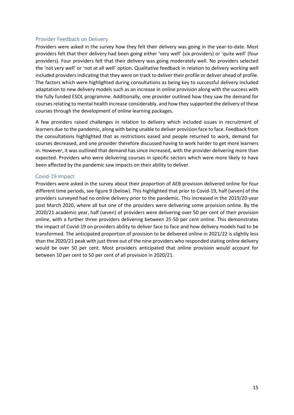#### Provider Feedback on Delivery

Providers were asked in the survey how they felt their delivery was going in the year-to-date. Most providers felt that their delivery had been going either 'very well' (six providers) or 'quite well' (four providers). Four providers felt that their delivery was going moderately well. No providers selected the 'not very well' or 'not at all well' option. Qualitative feedback in relation to delivery working well included providers indicating that they were on track to deliver their profile or deliver ahead of profile. The factors which were highlighted during consultations as being key to successful delivery included adaptation to new delivery models such as an increase in online provision along with the success with the fully funded ESOL programme. Additionally, one provider outlined how they saw the demand for courses relating to mental health increase considerably, and how they supported the delivery of these courses through the development of online learning packages.

A few providers raised challenges in relation to delivery which included issues in recruitment of learners due to the pandemic, along with being unable to deliver provision face to face. Feedback from the consultations highlighted that as restrictions eased and people returned to work, demand for courses decreased, and one provider therefore discussed having to work harder to get more learners in. However, it was outlined that demand has since increased, with the provider delivering more than expected. Providers who were delivering courses in specific sectors which were more likely to have been affected by the pandemic saw impacts on their ability to deliver.

#### Covid-19 Impact

Providers were asked in the survey about their proportion of AEB provision delivered online for four different time periods, see figure 9 (below). This highlighted that prior to Covid-19, half (seven) of the providers surveyed had no online delivery prior to the pandemic. This increased in the 2019/20-year post March 2020, where all but one of the providers were delivering some provision online. By the 2020/21 academic year, half (seven) of providers were delivering over 50 per cent of their provision online, with a further three providers delivering between 25-50 per cent online. This demonstrates the impact of Covid-19 on providers ability to deliver face to face and how delivery models had to be transformed. The anticipated proportion of provision to be delivered online in 2021/22 is slightly less than the 2020/21 peak with just three out of the nine providers who responded stating online delivery would be over 50 per cent. Most providers anticipated that online provision would account for between 10 per cent to 50 per cent of all provision in 2020/21.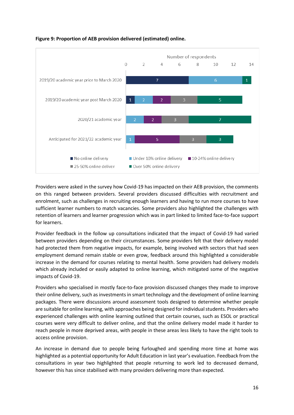

## **Figure 9: Proportion of AEB provision delivered (estimated) online.**

Providers were asked in the survey how Covid-19 has impacted on their AEB provision, the comments on this ranged between providers. Several providers discussed difficulties with recruitment and enrolment, such as challenges in recruiting enough learners and having to run more courses to have sufficient learner numbers to match vacancies. Some providers also highlighted the challenges with retention of learners and learner progression which was in part linked to limited face-to-face support for learners.

Provider feedback in the follow up consultations indicated that the impact of Covid-19 had varied between providers depending on their circumstances. Some providers felt that their delivery model had protected them from negative impacts, for example, being involved with sectors that had seen employment demand remain stable or even grow, feedback around this highlighted a considerable increase in the demand for courses relating to mental health. Some providers had delivery models which already included or easily adapted to online learning, which mitigated some of the negative impacts of Covid-19.

Providers who specialised in mostly face-to-face provision discussed changes they made to improve their online delivery, such as investments in smart technology and the development of online learning packages. There were discussions around assessment tools designed to determine whether people are suitable for online learning, with approaches being designed for individual students. Providers who experienced challenges with online learning outlined that certain courses, such as ESOL or practical courses were very difficult to deliver online, and that the online delivery model made it harder to reach people in more deprived areas, with people in these areas less likely to have the right tools to access online provision.

An increase in demand due to people being furloughed and spending more time at home was highlighted as a potential opportunity for Adult Education in last year's evaluation. Feedback from the consultations in year two highlighted that people returning to work led to decreased demand, however this has since stabilised with many providers delivering more than expected.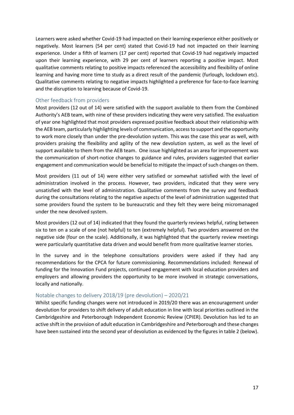Learners were asked whether Covid-19 had impacted on their learning experience either positively or negatively. Most learners (54 per cent) stated that Covid-19 had not impacted on their learning experience. Under a fifth of learners (17 per cent) reported that Covid-19 had negatively impacted upon their learning experience, with 29 per cent of learners reporting a positive impact. Most qualitative comments relating to positive impacts referenced the accessibility and flexibility of online learning and having more time to study as a direct result of the pandemic (furlough, lockdown etc). Qualitative comments relating to negative impacts highlighted a preference for face-to-face learning and the disruption to learning because of Covid-19.

#### Other feedback from providers

Most providers (12 out of 14) were satisfied with the support available to them from the Combined Authority's AEB team, with nine of these providers indicating they were very satisfied. The evaluation of year one highlighted that most providers expressed positive feedback about their relationship with the AEB team, particularly highlighting levels of communication, access to support and the opportunity to work more closely than under the pre-devolution system. This was the case this year as well, with providers praising the flexibility and agility of the new devolution system, as well as the level of support available to them from the AEB team. One issue highlighted as an area for improvement was the communication of short-notice changes to guidance and rules, providers suggested that earlier engagement and communication would be beneficial to mitigate the impact of such changes on them.

Most providers (11 out of 14) were either very satisfied or somewhat satisfied with the level of administration involved in the process. However, two providers, indicated that they were very unsatisfied with the level of administration. Qualitative comments from the survey and feedback during the consultations relating to the negative aspects of the level of administration suggested that some providers found the system to be bureaucratic and they felt they were being micromanaged under the new devolved system.

Most providers (12 out of 14) indicated that they found the quarterly reviews helpful, rating between six to ten on a scale of one (not helpful) to ten (extremely helpful). Two providers answered on the negative side (four on the scale). Additionally, it was highlighted that the quarterly review meetings were particularly quantitative data driven and would benefit from more qualitative learner stories.

In the survey and in the telephone consultations providers were asked if they had any recommendations for the CPCA for future commissioning. Recommendations included: Renewal of funding for the Innovation Fund projects, continued engagement with local education providers and employers and allowing providers the opportunity to be more involved in strategic conversations, locally and nationally.

#### Notable changes to delivery 2018/19 (pre devolution) – 2020/21

Whilst specific funding changes were not introduced in 2019/20 there was an encouragement under devolution for providers to shift delivery of adult education in line with local priorities outlined in the Cambridgeshire and Peterborough Independent Economic Review (CPIER). Devolution has led to an active shift in the provision of adult education in Cambridgeshire and Peterborough and these changes have been sustained into the second year of devolution as evidenced by the figures in table 2 (below).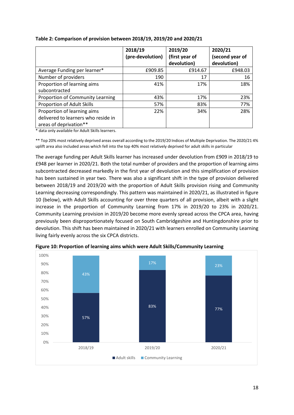|                                     | 2018/19          | 2019/20        | 2020/21         |
|-------------------------------------|------------------|----------------|-----------------|
|                                     | (pre-devolution) | (first year of | (second year of |
|                                     |                  | devolution)    | devolution)     |
| Average Funding per learner*        | £909.85          | £914.67        | £948.03         |
| Number of providers                 | 190              | 17             | 16              |
| Proportion of learning aims         | 41%              | 17%            | 18%             |
| subcontracted                       |                  |                |                 |
| Proportion of Community Learning    | 43%              | 17%            | 23%             |
| Proportion of Adult Skills          | 57%              | 83%            | 77%             |
| Proportion of learning aims         | 22%              | 34%            | 28%             |
| delivered to learners who reside in |                  |                |                 |
| areas of deprivation**              |                  |                |                 |

#### **Table 2: Comparison of provision between 2018/19, 2019/20 and 2020/21**

\* data only available for Adult Skills learners.

\*\* Top 20% most relatively deprived areas overall according to the 2019/20 Indices of Multiple Deprivation. The 2020/21 4% uplift area also included areas which fell into the top 40% most relatively deprived for adult skills in particular

The average funding per Adult Skills learner has increased under devolution from £909 in 2018/19 to £948 per learner in 2020/21. Both the total number of providers and the proportion of learning aims subcontracted decreased markedly in the first year of devolution and this simplification of provision has been sustained in year two. There was also a significant shift in the type of provision delivered between 2018/19 and 2019/20 with the proportion of Adult Skills provision rising and Community Learning decreasing correspondingly. This pattern was maintained in 2020/21, as illustrated in figure 10 (below), with Adult Skills accounting for over three quarters of all provision, albeit with a slight increase in the proportion of Community Learning from 17% in 2019/20 to 23% in 2020/21. Community Learning provision in 2019/20 become more evenly spread across the CPCA area, having previously been disproportionately focused on South Cambridgeshire and Huntingdonshire prior to devolution. This shift has been maintained in 2020/21 with learners enrolled on Community Learning living fairly evenly across the six CPCA districts.



**Figure 10: Proportion of learning aims which were Adult Skills/Community Learning**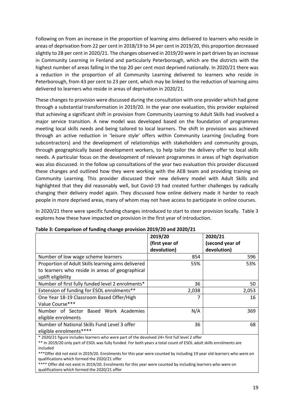Following on from an increase in the proportion of learning aims delivered to learners who reside in areas of deprivation from 22 per cent in 2018/19 to 34 per cent in 2019/20, this proportion decreased slightly to 28 per cent in 2020/21. The changes observed in 2019/20 were in part driven by an increase in Community Learning in Fenland and particularly Peterborough, which are the districts with the highest number of areas falling in the top 20 per cent most deprived nationally. In 2020/21 there was a reduction in the proportion of all Community Learning delivered to learners who reside in Peterborough, from 43 per cent to 23 per cent, which may be linked to the reduction of learning aims delivered to learners who reside in areas of deprivation in 2020/21.

These changes to provision were discussed during the consultation with one provider which had gone through a substantial transformation in 2019/20. In the year one evaluation, this provider explained that achieving a significant shift in provision from Community Learning to Adult Skills had involved a major service transition. A new model was developed based on the foundation of programmes meeting local skills needs and being tailored to local learners. The shift in provision was achieved through an active reduction in 'leisure style' offers within Community Learning (including from subcontractors) and the development of relationships with stakeholders and community groups, through geographically based development workers, to help tailor the delivery offer to local skills needs. A particular focus on the development of relevant programmes in areas of high deprivation was also discussed. In the follow up consultations of the year two evaluation this provider discussed these changes and outlined how they were working with the AEB team and providing training on Community Learning. This provider discussed their new delivery model with Adult Skills and highlighted that they did reasonably well, but Covid-19 had created further challenges by radically changing their delivery model again. They discussed how online delivery made it harder to reach people in more deprived areas, many of whom may not have access to participate in online courses.

In 2020/21 there were specific funding changes introduced to start to steer provision locally. Table 3 explores how these have impacted on provision in the first year of introduction.

|                                                                                               | 2019/20        | 2020/21         |  |
|-----------------------------------------------------------------------------------------------|----------------|-----------------|--|
|                                                                                               | (first year of | (second year of |  |
|                                                                                               | devolution)    | devolution)     |  |
| Number of low wage scheme learners                                                            | 854            | 596             |  |
| Proportion of Adult Skills learning aims delivered                                            | 55%            | 53%             |  |
| to learners who reside in areas of geographical                                               |                |                 |  |
| uplift eligibility                                                                            |                |                 |  |
| Number of first fully funded level 2 enrolments*                                              | 36             | 50              |  |
| Extension of funding for ESOL enrolments**                                                    | 2,038          | 2,053           |  |
| One Year 18-19 Classroom Based Offer/High                                                     |                | 16              |  |
| Value Course***                                                                               |                |                 |  |
| Number of Sector Based Work Academies                                                         | N/A            | 369             |  |
| eligible enrolments                                                                           |                |                 |  |
| Number of National Skills Fund Level 3 offer                                                  | 36             | 68              |  |
| eligible enrolments****                                                                       |                |                 |  |
| * 2020/21 figure includes learners who were part of the devolved 24+ first full level 2 offer |                |                 |  |

| Table 3: Comparison of funding change provision 2019/20 and 2020/21 |  |  |  |  |
|---------------------------------------------------------------------|--|--|--|--|
|                                                                     |  |  |  |  |

\*\* In 2019/20 only part of ESOL was fully funded. For both years a total count of ESOL adult skills enrolments are included

\*\*\*Offer did not exist in 2019/20. Enrolments for this year were counted by including 19 year old learners who were on qualifications which formed the 2020/21 offer

\*\*\*\* Offer did not exist in 2019/20. Enrolments for this year were counted by including learners who were on qualifications which formed the 2020/21 offer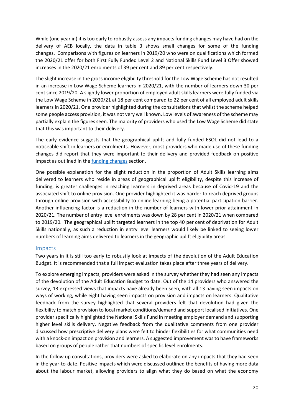While (one year in) it is too early to robustly assess any impacts funding changes may have had on the delivery of AEB locally, the data in table 3 shows small changes for some of the funding changes. Comparisons with figures on learners in 2019/20 who were on qualifications which formed the 2020/21 offer for both First Fully Funded Level 2 and National Skills Fund Level 3 Offer showed increases in the 2020/21 enrolments of 39 per cent and 89 per cent respectively.

The slight increase in the gross income eligibility threshold for the Low Wage Scheme has not resulted in an increase in Low Wage Scheme learners in 2020/21, with the number of learners down 30 per cent since 2019/20. A slightly lower proportion of employed adult skills learners were fully funded via the Low Wage Scheme in 2020/21 at 18 per cent compared to 22 per cent of all employed adult skills learners in 2020/21. One provider highlighted during the consultations that whilst the scheme helped some people access provision, it was not very well known. Low levels of awareness of the scheme may partially explain the figures seen. The majority of providers who used the Low Wage Scheme did state that this was important to their delivery.

The early evidence suggests that the geographical uplift and fully funded ESOL did not lead to a noticeable shift in learners or enrolments. However, most providers who made use of these funding changes did report that they were important to their delivery and provided feedback on positive impact as outlined in the **funding changes** section.

One possible explanation for the slight reduction in the proportion of Adult Skills learning aims delivered to learners who reside in areas of geographical uplift eligibility, despite this increase of funding, is greater challenges in reaching learners in deprived areas because of Covid-19 and the associated shift to online provision. One provider highlighted it was harder to reach deprived groups through online provision with accessibility to online learning being a potential participation barrier. Another influencing factor is a reduction in the number of learners with lower prior attainment in 2020/21. The number of entry level enrolments was down by 28 per cent in 2020/21 when compared to 2019/20. The geographical uplift targeted learners in the top 40 per cent of deprivation for Adult Skills nationally, as such a reduction in entry level learners would likely be linked to seeing lower numbers of learning aims delivered to learners in the geographic uplift eligibility areas.

#### Impacts

Two years in it is still too early to robustly look at impacts of the devolution of the Adult Education Budget. It is recommended that a full impact evaluation takes place after three years of delivery.

To explore emerging impacts, providers were asked in the survey whether they had seen any impacts of the devolution of the Adult Education Budget to date. Out of the 14 providers who answered the survey, 13 expressed views that impacts have already been seen, with all 13 having seen impacts on ways of working, while eight having seen impacts on provision and impacts on learners. Qualitative feedback from the survey highlighted that several providers felt that devolution had given the flexibility to match provision to local market conditions/demand and support localised initiatives. One provider specifically highlighted the National Skills Fund in meeting employer demand and supporting higher level skills delivery. Negative feedback from the qualitative comments from one provider discussed how prescriptive delivery plans were felt to hinder flexibilities for what communities need with a knock-on impact on provision and learners. A suggested improvement was to have frameworks based on groups of people rather that numbers of specific level enrolments.

In the follow up consultations, providers were asked to elaborate on any impacts that they had seen in the year-to-date. Positive impacts which were discussed outlined the benefits of having more data about the labour market, allowing providers to align what they do based on what the economy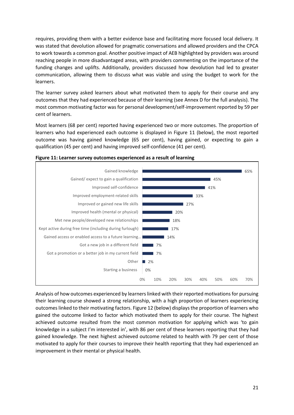requires, providing them with a better evidence base and facilitating more focused local delivery. It was stated that devolution allowed for pragmatic conversations and allowed providers and the CPCA to work towards a common goal. Another positive impact of AEB highlighted by providers was around reaching people in more disadvantaged areas, with providers commenting on the importance of the funding changes and uplifts. Additionally, providers discussed how devolution had led to greater communication, allowing them to discuss what was viable and using the budget to work for the learners.

The learner survey asked learners about what motivated them to apply for their course and any outcomes that they had experienced because of their learning (see Annex D for the full analysis). The most common motivating factor was for personal development/self-improvement reported by 59 per cent of learners.

Most learners (68 per cent) reported having experienced two or more outcomes. The proportion of learners who had experienced each outcome is displayed in Figure 11 (below), the most reported outcome was having gained knowledge (65 per cent), having gained, or expecting to gain a qualification (45 per cent) and having improved self-confidence (41 per cent).





Analysis of how outcomes experienced by learners linked with their reported motivations for pursuing their learning course showed a strong relationship, with a high proportion of learners experiencing outcomes linked to their motivating factors. Figure 12 (below) displays the proportion of learners who gained the outcome linked to factor which motivated them to apply for their course. The highest achieved outcome resulted from the most common motivation for applying which was 'to gain knowledge in a subject I'm interested in', with 86 per cent of these learners reporting that they had gained knowledge. The next highest achieved outcome related to health with 79 per cent of those motivated to apply for their courses to improve their health reporting that they had experienced an improvement in their mental or physical health.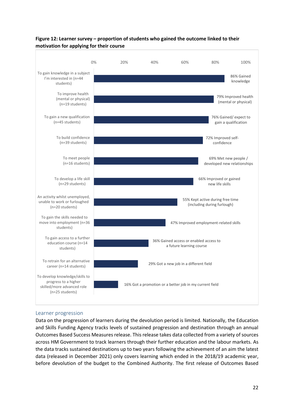

## **Figure 12: Learner survey – proportion of students who gained the outcome linked to their motivation for applying for their course**

#### Learner progression

Data on the progression of learners during the devolution period is limited. Nationally, the Education and Skills Funding Agency tracks levels of sustained progression and destination through an annual Outcomes Based Success Measures release. This release takes data collected from a variety of sources across HM Government to track learners through their further education and the labour markets. As the data tracks sustained destinations up to two years following the achievement of an aim the latest data (released in December 2021) only covers learning which ended in the 2018/19 academic year, before devolution of the budget to the Combined Authority. The first release of Outcomes Based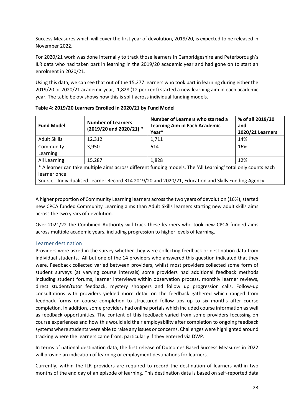Success Measures which will cover the first year of devolution, 2019/20, is expected to be released in November 2022.

For 2020/21 work was done internally to track those learners in Cambridgeshire and Peterborough's ILR data who had taken part in learning in the 2019/20 academic year and had gone on to start an enrolment in 2020/21.

Using this data, we can see that out of the 15,277 learners who took part in learning during either the 2019/20 or 2020/21 academic year, 1,828 (12 per cent) started a new learning aim in each academic year. The table below shows how this is split across individual funding models.

| <b>Fund Model</b>                                                                                             | <b>Number of Learners</b><br>(2019/20 and 2020/21) * | Number of Learners who started a<br><b>Learning Aim in Each Academic</b><br>Year* | % of all 2019/20<br>and<br>2020/21 Learners |
|---------------------------------------------------------------------------------------------------------------|------------------------------------------------------|-----------------------------------------------------------------------------------|---------------------------------------------|
| <b>Adult Skills</b>                                                                                           | 12,312                                               | 1,711                                                                             | 14%                                         |
| Community                                                                                                     | 3,950                                                | 614                                                                               | 16%                                         |
| Learning                                                                                                      |                                                      |                                                                                   |                                             |
| All Learning                                                                                                  | 15,287                                               | 1,828                                                                             | 12%                                         |
| * A learner can take multiple aims across different funding models. The 'All Learning' total only counts each |                                                      |                                                                                   |                                             |
| learner once                                                                                                  |                                                      |                                                                                   |                                             |
| Source - Individualised Learner Record R14 2019/20 and 2020/21, Education and Skills Funding Agency           |                                                      |                                                                                   |                                             |

**Table 4: 2019/20 Learners Enrolled in 2020/21 by Fund Model** 

A higher proportion of Community Learning learners across the two years of devolution (16%), started new CPCA funded Community Learning aims than Adult Skills learners starting new adult skills aims across the two years of devolution.

Over 2021/22 the Combined Authority will track these learners who took new CPCA funded aims across multiple academic years, including progression to higher levels of learning.

#### Learner destination

Providers were asked in the survey whether they were collecting feedback or destination data from individual students. All but one of the 14 providers who answered this question indicated that they were. Feedback collected varied between providers, whilst most providers collected some form of student surveys (at varying course intervals) some providers had additional feedback methods including student forums, learner interviews within observation process, monthly learner reviews, direct student/tutor feedback, mystery shoppers and follow up progression calls. Follow-up consultations with providers yielded more detail on the feedback gathered which ranged from feedback forms on course completion to structured follow ups up to six months after course completion. In addition, some providers had online portals which included course information as well as feedback opportunities. The content of this feedback varied from some providers focussing on course experiences and how this would aid their employability after completion to ongoing feedback systems where students were able to raise any issues or concerns. Challenges were highlighted around tracking where the learners came from, particularly if they entered via DWP.

In terms of national destination data, the first release of Outcomes Based Success Measures in 2022 will provide an indication of learning or employment destinations for learners.

Currently, within the ILR providers are required to record the destination of learners within two months of the end day of an episode of learning. This destination data is based on self-reported data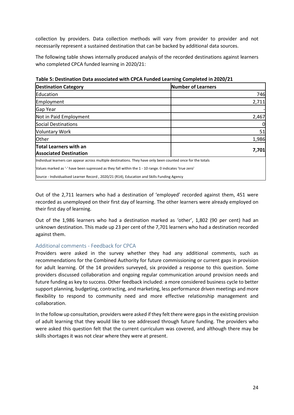collection by providers. Data collection methods will vary from provider to provider and not necessarily represent a sustained destination that can be backed by additional data sources.

The following table shows internally produced analysis of the recorded destinations against learners who completed CPCA funded learning in 2020/21:

| <b>Destination Category</b>                                                                                  | <b>Number of Learners</b> |
|--------------------------------------------------------------------------------------------------------------|---------------------------|
| Education                                                                                                    | 746                       |
| Employment                                                                                                   | 2,711                     |
| Gap Year                                                                                                     |                           |
| Not in Paid Employment                                                                                       | 2,467                     |
| Social Destinations                                                                                          | 0                         |
| <b>Voluntary Work</b>                                                                                        | 51                        |
| <b>Other</b>                                                                                                 | 1,986                     |
| <b>Total Learners with an</b>                                                                                |                           |
| <b>Associated Destination</b>                                                                                | 7,701                     |
| Individual learners can appear across multiple destinations. They have only been counted once for the totals |                           |
| Values marked as '-' have been supressed as they fall within the 1 - 10 range. 0 indicates 'true zero'       |                           |
| Source - Individualised Learner Record, 2020/21 (R14), Education and Skills Funding Agency                   |                           |

**Table 5: Destination Data associated with CPCA Funded Learning Completed in 2020/21**

Out of the 2,711 learners who had a destination of 'employed' recorded against them, 451 were recorded as unemployed on their first day of learning. The other learners were already employed on their first day of learning.

Out of the 1,986 learners who had a destination marked as 'other', 1,802 (90 per cent) had an unknown destination. This made up 23 per cent of the 7,701 learners who had a destination recorded against them.

#### Additional comments - Feedback for CPCA

Providers were asked in the survey whether they had any additional comments, such as recommendations for the Combined Authority for future commissioning or current gaps in provision for adult learning. Of the 14 providers surveyed, six provided a response to this question. Some providers discussed collaboration and ongoing regular communication around provision needs and future funding as key to success. Other feedback included: a more considered business cycle to better support planning, budgeting, contracting, and marketing, less performance driven meetings and more flexibility to respond to community need and more effective relationship management and collaboration.

In the follow up consultation, providers were asked if they felt there were gaps in the existing provision of adult learning that they would like to see addressed through future funding. The providers who were asked this question felt that the current curriculum was covered, and although there may be skills shortages it was not clear where they were at present.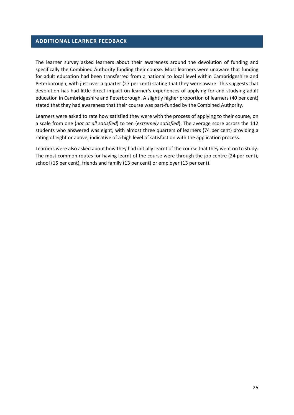#### **ADDITIONAL LEARNER FEEDBACK**

The learner survey asked learners about their awareness around the devolution of funding and specifically the Combined Authority funding their course. Most learners were unaware that funding for adult education had been transferred from a national to local level within Cambridgeshire and Peterborough, with just over a quarter (27 per cent) stating that they were aware. This suggests that devolution has had little direct impact on learner's experiences of applying for and studying adult education in Cambridgeshire and Peterborough. A slightly higher proportion of learners (40 per cent) stated that they had awareness that their course was part-funded by the Combined Authority.

Learners were asked to rate how satisfied they were with the process of applying to their course, on a scale from one (*not at all satisfied*) to ten (*extremely satisfied*). The average score across the 112 students who answered was eight, with almost three quarters of learners (74 per cent) providing a rating of eight or above, indicative of a high level of satisfaction with the application process.

Learners were also asked about how they had initially learnt of the course that they went on to study. The most common routes for having learnt of the course were through the job centre (24 per cent), school (15 per cent), friends and family (13 per cent) or employer (13 per cent).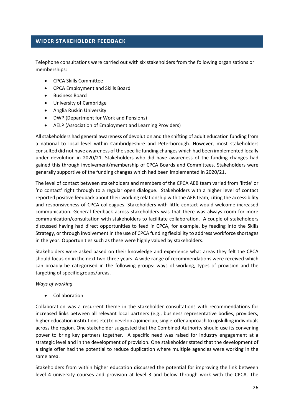#### **WIDER STAKEHOLDER FEEDBACK**

Telephone consultations were carried out with six stakeholders from the following organisations or memberships:

- CPCA Skills Committee
- CPCA Employment and Skills Board
- Business Board
- University of Cambridge
- Anglia Ruskin University
- DWP (Department for Work and Pensions)
- AELP (Association of Employment and Learning Providers)

All stakeholders had general awareness of devolution and the shifting of adult education funding from a national to local level within Cambridgeshire and Peterborough. However, most stakeholders consulted did not have awareness of the specific funding changes which had been implemented locally under devolution in 2020/21. Stakeholders who did have awareness of the funding changes had gained this through involvement/membership of CPCA Boards and Committees. Stakeholders were generally supportive of the funding changes which had been implemented in 2020/21.

The level of contact between stakeholders and members of the CPCA AEB team varied from 'little' or 'no contact' right through to a regular open dialogue. Stakeholders with a higher level of contact reported positive feedback about their working relationship with the AEB team, citing the accessibility and responsiveness of CPCA colleagues. Stakeholders with little contact would welcome increased communication. General feedback across stakeholders was that there was always room for more communication/consultation with stakeholders to facilitate collaboration. A couple of stakeholders discussed having had direct opportunities to feed in CPCA, for example, by feeding into the Skills Strategy, or through involvement in the use of CPCA funding flexibility to address workforce shortages in the year. Opportunities such as these were highly valued by stakeholders.

Stakeholders were asked based on their knowledge and experience what areas they felt the CPCA should focus on in the next two-three years. A wide range of recommendations were received which can broadly be categorised in the following groups: ways of working, types of provision and the targeting of specific groups/areas.

#### *Ways of working*

• Collaboration

Collaboration was a recurrent theme in the stakeholder consultations with recommendations for increased links between all relevant local partners (e.g., business representative bodies, providers, higher education institutions etc) to develop a joined up, single-offer approach to upskilling individuals across the region. One stakeholder suggested that the Combined Authority should use its convening power to bring key partners together. A specific need was raised for industry engagement at a strategic level and in the development of provision. One stakeholder stated that the development of a single offer had the potential to reduce duplication where multiple agencies were working in the same area.

Stakeholders from within higher education discussed the potential for improving the link between level 4 university courses and provision at level 3 and below through work with the CPCA. The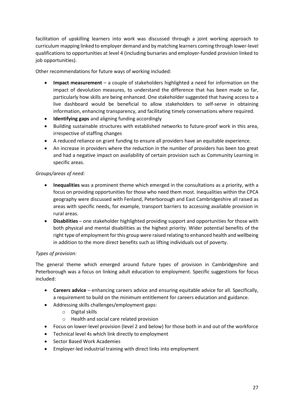facilitation of upskilling learners into work was discussed through a joint working approach to curriculum mapping linked to employer demand and by matching learners coming through lower-level qualifications to opportunities at level 4 (including bursaries and employer-funded provision linked to job opportunities).

Other recommendations for future ways of working included:

- **Impact measurement** a couple of stakeholders highlighted a need for information on the impact of devolution measures, to understand the difference that has been made so far, particularly how skills are being enhanced. One stakeholder suggested that having access to a live dashboard would be beneficial to allow stakeholders to self-serve in obtaining information, enhancing transparency, and facilitating timely conversations where required.
- **Identifying gaps** and aligning funding accordingly
- Building sustainable structures with established networks to future-proof work in this area, irrespective of staffing changes
- A reduced reliance on grant funding to ensure all providers have an equitable experience.
- An increase in providers where the reduction in the number of providers has been too great and had a negative impact on availability of certain provision such as Community Learning in specific areas.

#### *Groups/areas of need:*

- **Inequalities** was a prominent theme which emerged in the consultations as a priority, with a focus on providing opportunities for those who need them most. Inequalities within the CPCA geography were discussed with Fenland, Peterborough and East Cambridgeshire all raised as areas with specific needs, for example, transport barriers to accessing available provision in rural areas.
- **Disabilities** one stakeholder highlighted providing support and opportunities for those with both physical and mental disabilities as the highest priority. Wider potential benefits of the right type of employment for this group were raised relating to enhanced health and wellbeing in addition to the more direct benefits such as lifting individuals out of poverty.

#### *Types of provision:*

The general theme which emerged around future types of provision in Cambridgeshire and Peterborough was a focus on linking adult education to employment. Specific suggestions for focus included:

- **Careers advice** enhancing careers advice and ensuring equitable advice for all. Specifically, a requirement to build on the minimum entitlement for careers education and guidance.
- Addressing skills challenges/employment gaps:
	- o Digital skills
	- o Health and social care related provision
- Focus on lower-level provision (level 2 and below) for those both in and out of the workforce
- Technical level 4s which link directly to employment
- Sector Based Work Academies
- Employer-led industrial training with direct links into employment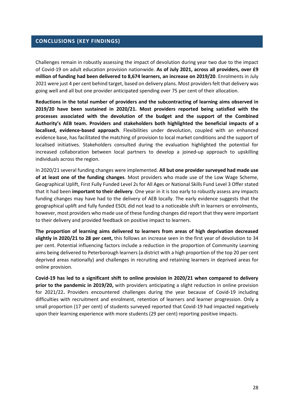#### **CONCLUSIONS (KEY FINDINGS)**

Challenges remain in robustly assessing the impact of devolution during year two due to the impact of Covid-19 on adult education provision nationwide. **As of July 2021, across all providers, over £9 million of funding had been delivered to 8,674 learners, an increase on 2019/20**. Enrolments in July 2021 were just 4 per cent behind target, based on delivery plans. Most providers felt that delivery was going well and all but one provider anticipated spending over 75 per cent of their allocation.

**Reductions in the total number of providers and the subcontracting of learning aims observed in 2019/20 have been sustained in 2020/21. Most providers reported being satisfied with the processes associated with the devolution of the budget and the support of the Combined Authority's AEB team. Providers and stakeholders both highlighted the beneficial impacts of a localised, evidence-based approach**. Flexibilities under devolution, coupled with an enhanced evidence base, has facilitated the matching of provision to local market conditions and the support of localised initiatives. Stakeholders consulted during the evaluation highlighted the potential for increased collaboration between local partners to develop a joined-up approach to upskilling individuals across the region.

In 2020/21 several funding changes were implemented. **All but one provider surveyed had made use of at least one of the funding changes**. Most providers who made use of the Low Wage Scheme, Geographical Uplift, First Fully Funded Level 2s for All Ages or National Skills Fund Level 3 Offer stated that it had been **important to their delivery**. One year in it is too early to robustly assess any impacts funding changes may have had to the delivery of AEB locally. The early evidence suggests that the geographical uplift and fully funded ESOL did not lead to a noticeable shift in learners or enrolments, however, most providers who made use of these funding changes did report that they were important to their delivery and provided feedback on positive impact to learners.

**The proportion of learning aims delivered to learners from areas of high deprivation decreased slightly in 2020/21 to 28 per cent,** this follows an increase seen in the first year of devolution to 34 per cent. Potential influencing factors include a reduction in the proportion of Community Learning aims being delivered to Peterborough learners (a district with a high proportion of the top 20 per cent deprived areas nationally) and challenges in recruiting and retaining learners in deprived areas for online provision.

**Covid-19 has led to a significant shift to online provision in 2020/21 when compared to delivery prior to the pandemic in 2019/20,** with providers anticipating a slight reduction in online provision for 2021/22**.** Providers encountered challenges during the year because of Covid-19 including difficulties with recruitment and enrolment, retention of learners and learner progression. Only a small proportion (17 per cent) of students surveyed reported that Covid-19 had impacted negatively upon their learning experience with more students (29 per cent) reporting positive impacts.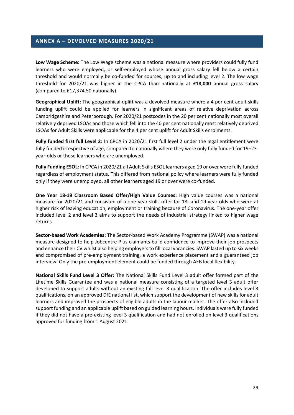#### **ANNEX A – DEVOLVED MEASURES 2020/21**

**Low Wage Scheme:** The Low Wage scheme was a national measure where providers could fully fund learners who were employed, or self-employed whose annual gross salary fell below a certain threshold and would normally be co-funded for courses, up to and including level 2. The low wage threshold for 2020/21 was higher in the CPCA than nationally at **£18,000** annual gross salary (compared to £17,374.50 nationally).

**Geographical Uplift:** The geographical uplift was a devolved measure where a 4 per cent adult skills funding uplift could be applied for learners in significant areas of relative deprivation across Cambridgeshire and Peterborough. For 2020/21 postcodes in the 20 per cent nationally most overall relatively deprived LSOAs and those which fell into the 40 per cent nationally most relatively deprived LSOAs for Adult Skills were applicable for the 4 per cent uplift for Adult Skills enrolments.

**Fully funded first full Level 2:** In CPCA in 2020/21 first full level 2 under the legal entitlement were fully funded irrespective of age, compared to nationally where they were only fully funded for 19–23 year-olds or those learners who are unemployed.

**Fully Funding ESOL:** In CPCA in 2020/21 all Adult Skills ESOL learners aged 19 or over were fully funded regardless of employment status. This differed from national policy where learners were fully funded only if they were unemployed, all other learners aged 19 or over were co-funded.

**One Year 18-19 Classroom Based Offer/High Value Courses:** High value courses was a national measure for 2020/21 and consisted of a one-year skills offer for 18- and 19-year-olds who were at higher risk of leaving education, employment or training because of Coronavirus. The one-year offer included level 2 and level 3 aims to support the needs of industrial strategy linked to higher wage returns.

**Sector-based Work Academies:** The Sector-based Work Academy Programme (SWAP) was a national measure designed to help Jobcentre Plus claimants build confidence to improve their job prospects and enhance their CV whilst also helping employers to fill local vacancies. SWAP lasted up to six weeks and compromised of pre-employment training, a work experience placement and a guaranteed job interview. Only the pre-employment element could be funded through AEB local flexibility.

**National Skills Fund Level 3 Offer:** The National Skills Fund Level 3 adult offer formed part of the Lifetime Skills Guarantee and was a national measure consisting of a targeted level 3 adult offer developed to support adults without an existing full level 3 qualification. The offer includes level 3 qualifications, on an approved DfE national list, which support the development of new skills for adult learners and improved the prospects of eligible adults in the labour market. The offer also included support funding and an applicable uplift based on guided learning hours. Individuals were fully funded if they did not have a pre-existing level 3 qualification and had not enrolled on level 3 qualifications approved for funding from 1 August 2021.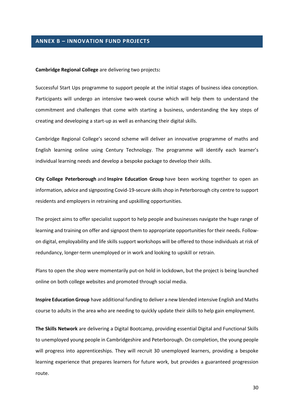#### **ANNEX B – INNOVATION FUND PROJECTS**

#### **Cambridge Regional College** are delivering two projects**:**

Successful Start Ups programme to support people at the initial stages of business idea conception. Participants will undergo an intensive two-week course which will help them to understand the commitment and challenges that come with starting a business, understanding the key steps of creating and developing a start-up as well as enhancing their digital skills.

Cambridge Regional College's second scheme will deliver an innovative programme of maths and English learning online using Century Technology. The programme will identify each learner's individual learning needs and develop a bespoke package to develop their skills.

**City College Peterborough** and **Inspire Education Group** have been working together to open an information, advice and signposting Covid-19-secure skills shop in Peterborough city centre to support residents and employers in retraining and upskilling opportunities.

The project aims to offer specialist support to help people and businesses navigate the huge range of learning and training on offer and signpost them to appropriate opportunities for their needs. Followon digital, employability and life skills support workshops will be offered to those individuals at risk of redundancy, longer-term unemployed or in work and looking to upskill or retrain.

Plans to open the shop were momentarily put-on hold in lockdown, but the project is being launched online on both college websites and promoted through social media.

**Inspire Education Group** have additional funding to deliver a new blended intensive English and Maths course to adults in the area who are needing to quickly update their skills to help gain employment.

**The Skills Network** are delivering a Digital Bootcamp, providing essential Digital and Functional Skills to unemployed young people in Cambridgeshire and Peterborough. On completion, the young people will progress into apprenticeships. They will recruit 30 unemployed learners, providing a bespoke learning experience that prepares learners for future work, but provides a guaranteed progression route.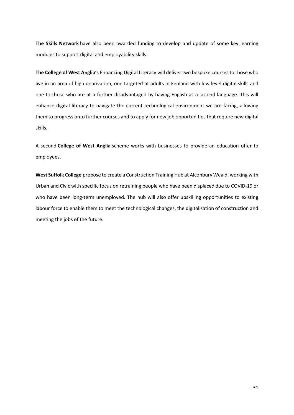**The Skills Network** have also been awarded funding to develop and update of some key learning modules to support digital and employability skills.

**The College of West Anglia**'s Enhancing Digital Literacy will deliver two bespoke courses to those who live in an area of high deprivation, one targeted at adults in Fenland with low level digital skills and one to those who are at a further disadvantaged by having English as a second language. This will enhance digital literacy to navigate the current technological environment we are facing, allowing them to progress onto further courses and to apply for new job opportunities that require new digital skills.

A second **College of West Anglia** scheme works with businesses to provide an education offer to employees.

**West Suffolk College** propose to create a Construction Training Hub at Alconbury Weald, working with Urban and Civic with specific focus on retraining people who have been displaced due to COVID-19 or who have been long-term unemployed. The hub will also offer upskilling opportunities to existing labour force to enable them to meet the technological changes, the digitalisation of construction and meeting the jobs of the future.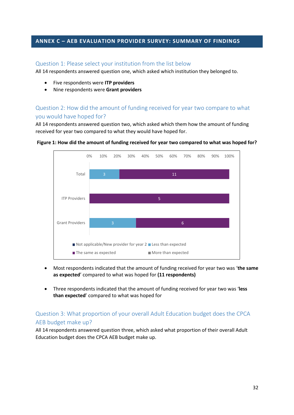#### **ANNEX C – AEB EVALUATION PROVIDER SURVEY: SUMMARY OF FINDINGS**

#### Question 1: Please select your institution from the list below

All 14 respondents answered question one, which asked which institution they belonged to.

- Five respondents were **ITP providers**
- Nine respondents were **Grant providers**

## Question 2: How did the amount of funding received for year two compare to what you would have hoped for?

All 14 respondents answered question two, which asked which them how the amount of funding received for year two compared to what they would have hoped for.



**Figure 1: How did the amount of funding received for year two compared to what was hoped for?** 

- Most respondents indicated that the amount of funding received for year two was '**the same as expected**' compared to what was hoped for **(11 respondents)**
- Three respondents indicated that the amount of funding received for year two was '**less than expected**' compared to what was hoped for

## Question 3: What proportion of your overall Adult Education budget does the CPCA AEB budget make up?

All 14 respondents answered question three, which asked what proportion of their overall Adult Education budget does the CPCA AEB budget make up.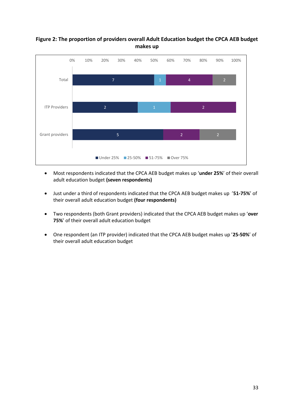## **Figure 2: The proportion of providers overall Adult Education budget the CPCA AEB budget makes up**



- Most respondents indicated that the CPCA AEB budget makes up '**under 25%**' of their overall adult education budget **(seven respondents)**
- Just under a third of respondents indicated that the CPCA AEB budget makes up '**51-75%**' of their overall adult education budget **(four respondents)**
- Two respondents (both Grant providers) indicated that the CPCA AEB budget makes up '**over 75%**' of their overall adult education budget
- One respondent (an ITP provider) indicated that the CPCA AEB budget makes up '**25-50%**' of their overall adult education budget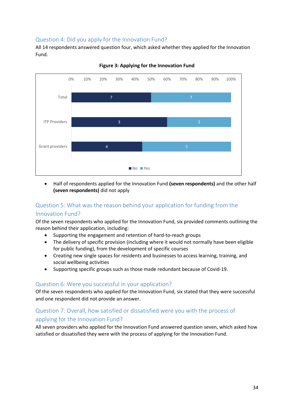## Question 4: Did you apply for the Innovation Fund?

All 14 respondents answered question four, which asked whether they applied for the Innovation Fund.



**Figure 3: Applying for the Innovation Fund** 

• Half of respondents applied for the Innovation Fund **(seven respondents)** and the other half **(seven respondents)** did not apply

## Question 5: What was the reason behind your application for funding from the

#### Innovation Fund?

Of the seven respondents who applied for the Innovation Fund, six provided comments outlining the reason behind their application, including:

- Supporting the engagement and retention of hard-to-reach groups
- The delivery of specific provision (including where it would not normally have been eligible for public funding), from the development of specific courses
- Creating new single spaces for residents and businesses to access learning, training, and social wellbeing activities
- Supporting specific groups such as those made redundant because of Covid-19.

#### Question 6: Were you successful in your application?

Of the seven respondents who applied for the Innovation Fund, six stated that they were successful and one respondent did not provide an answer.

## Question 7: Overall, how satisfied or dissatisfied were you with the process of applying for the Innovation Fund?

All seven providers who applied for the Innovation Fund answered question seven, which asked how satisfied or dissatisfied they were with the process of applying for the Innovation Fund.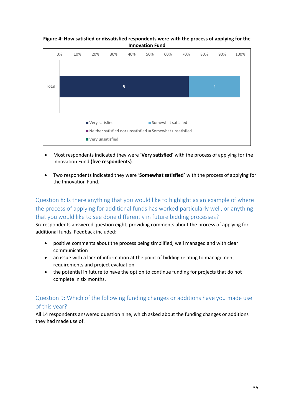**Figure 4: How satisfied or dissatisfied respondents were with the process of applying for the Innovation Fund**



- Most respondents indicated they were '**Very satisfied**' with the process of applying for the Innovation Fund **(five respondents)**.
- Two respondents indicated they were '**Somewhat satisfied´** with the process of applying for the Innovation Fund.

Question 8: Is there anything that you would like to highlight as an example of where the process of applying for additional funds has worked particularly well, or anything that you would like to see done differently in future bidding processes?

Six respondents answered question eight, providing comments about the process of applying for additional funds. Feedback included:

- positive comments about the process being simplified, well managed and with clear communication
- an issue with a lack of information at the point of bidding relating to management requirements and project evaluation
- the potential in future to have the option to continue funding for projects that do not complete in six months.

## Question 9: Which of the following funding changes or additions have you made use of this year?

All 14 respondents answered question nine, which asked about the funding changes or additions they had made use of.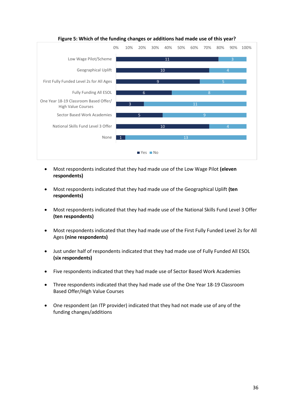

**Figure 5: Which of the funding changes or additions had made use of this year?**

- Most respondents indicated that they had made use of the Low Wage Pilot **(eleven respondents)**
- Most respondents indicated that they had made use of the Geographical Uplift **(ten respondents)**
- Most respondents indicated that they had made use of the National Skills Fund Level 3 Offer **(ten respondents)**
- Most respondents indicated that they had made use of the First Fully Funded Level 2s for All Ages **(nine respondents)**
- Just under half of respondents indicated that they had made use of Fully Funded All ESOL **(six respondents)**
- Five respondents indicated that they had made use of Sector Based Work Academies
- Three respondents indicated that they had made use of the One Year 18-19 Classroom Based Offer/High Value Courses
- One respondent (an ITP provider) indicated that they had not made use of any of the funding changes/additions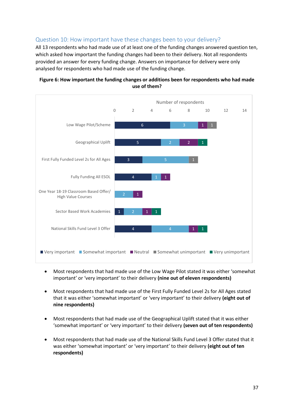## Question 10: How important have these changes been to your delivery?

All 13 respondents who had made use of at least one of the funding changes answered question ten, which asked how important the funding changes had been to their delivery. Not all respondents provided an answer for every funding change. Answers on importance for delivery were only analysed for respondents who had made use of the funding change.



#### **Figure 6: How important the funding changes or additions been for respondents who had made use of them?**

- Most respondents that had made use of the Low Wage Pilot stated it was either 'somewhat important' or 'very important' to their delivery **(nine out of eleven respondents)**
- Most respondents that had made use of the First Fully Funded Level 2s for All Ages stated that it was either 'somewhat important' or 'very important' to their delivery **(eight out of nine respondents)**
- Most respondents that had made use of the Geographical Uplift stated that it was either 'somewhat important' or 'very important' to their delivery **(seven out of ten respondents)**
- Most respondents that had made use of the National Skills Fund Level 3 Offer stated that it was either 'somewhat important' or 'very important' to their delivery **(eight out of ten respondents)**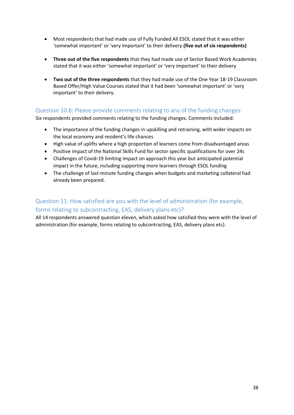- Most respondents that had made use of Fully Funded All ESOL stated that it was either 'somewhat important' or 'very important' to their delivery **(five out of six respondents)**
- **Three out of the five respondents** that they had made use of Sector Based Work Academies stated that it was either 'somewhat important' or 'very important' to their delivery
- **Two out of the three respondents** that they had made use of the One Year 18-19 Classroom Based Offer/High Value Courses stated that it had been 'somewhat important' or 'very important' to their delivery.

## Question 10.8: Please provide comments relating to any of the funding changes:

Six respondents provided comments relating to the funding changes. Comments included:

- The importance of the funding changes in upskilling and retraining, with wider impacts on the local economy and resident's life chances
- High value of uplifts where a high proportion of learners come from disadvantaged areas
- Positive impact of the National Skills Fund for sector specific qualifications for over 24s
- Challenges of Covid-19 limiting impact on approach this year but anticipated potential impact in the future, including supporting more learners through ESOL funding
- The challenge of last-minute funding changes when budgets and marketing collateral had already been prepared.

## Question 11: How satisfied are you with the level of administration (for example, forms relating to subcontracting, EAS, delivery plans etc)?

All 14 respondents answered question eleven, which asked how satisfied they were with the level of administration (for example, forms relating to subcontracting, EAS, delivery plans etc).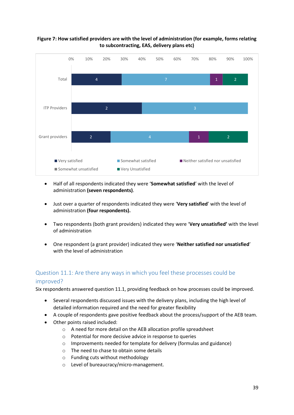#### **Figure 7: How satisfied providers are with the level of administration (for example, forms relating to subcontracting, EAS, delivery plans etc)**



- Half of all respondents indicated they were '**Somewhat satisfied**' with the level of administration **(seven respondents)**.
- Just over a quarter of respondents indicated they were '**Very satisfied**' with the level of administration **(four respondents).**
- Two respondents (both grant providers) indicated they were '**Very unsatisfied'** with the level of administration
- One respondent (a grant provider) indicated they were '**Neither satisfied nor unsatisfied**' with the level of administration

## Question 11.1: Are there any ways in which you feel these processes could be improved?

Six respondents answered question 11.1, providing feedback on how processes could be improved.

- Several respondents discussed issues with the delivery plans, including the high level of detailed information required and the need for greater flexibility
- A couple of respondents gave positive feedback about the process/support of the AEB team.
- Other points raised included:
	- o A need for more detail on the AEB allocation profile spreadsheet
	- o Potential for more decisive advice in response to queries
	- $\circ$  Improvements needed for template for delivery (formulas and guidance)
	- o The need to chase to obtain some details
	- o Funding cuts without methodology
	- o Level of bureaucracy/micro-management.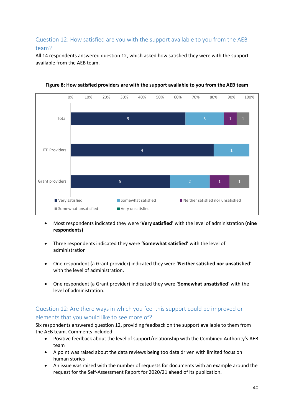## Question 12: How satisfied are you with the support available to you from the AEB team?

All 14 respondents answered question 12, which asked how satisfied they were with the support available from the AEB team.



**Figure 8: How satisfied providers are with the support available to you from the AEB team** 

- Most respondents indicated they were '**Very satisfied**' with the level of administration **(nine respondents)**
- Three respondents indicated they were '**Somewhat satisfied**' with the level of administration
- One respondent (a Grant provider) indicated they were '**Neither satisfied nor unsatisfied**' with the level of administration.
- One respondent (a Grant provider) indicated they were '**Somewhat unsatisfied**' with the level of administration.

## Question 12: Are there ways in which you feel this support could be improved or elements that you would like to see more of?

Six respondents answered question 12, providing feedback on the support available to them from the AEB team. Comments included:

- Positive feedback about the level of support/relationship with the Combined Authority's AEB team
- A point was raised about the data reviews being too data driven with limited focus on human stories
- An issue was raised with the number of requests for documents with an example around the request for the Self-Assessment Report for 2020/21 ahead of its publication.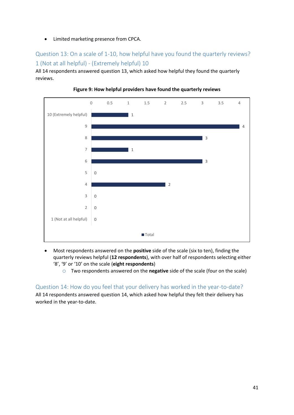• Limited marketing presence from CPCA.

Question 13: On a scale of 1-10, how helpful have you found the quarterly reviews? 1 (Not at all helpful) - (Extremely helpful) 10

All 14 respondents answered question 13, which asked how helpful they found the quarterly reviews.





- Most respondents answered on the **positive** side of the scale (six to ten), finding the quarterly reviews helpful (**12 respondents**), with over half of respondents selecting either '8', '9' or '10' on the scale (**eight respondents**)
	- o Two respondents answered on the **negative** side of the scale (four on the scale)

Question 14: How do you feel that your delivery has worked in the year-to-date? All 14 respondents answered question 14, which asked how helpful they felt their delivery has worked in the year-to-date.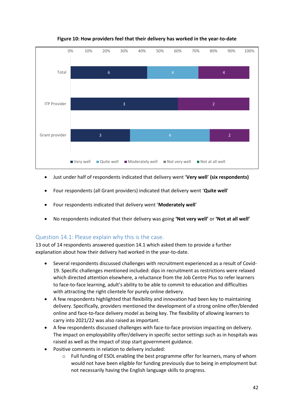

**Figure 10: How providers feel that their delivery has worked in the year-to-date** 

- Just under half of respondents indicated that delivery went '**Very well**' **(six respondents)**
- Four respondents (all Grant providers) indicated that delivery went '**Quite well**'
- Four respondents indicated that delivery went '**Moderately well**'
- No respondents indicated that their delivery was going **'Not very well'** or **'Not at all well'**

#### Question 14.1: Please explain why this is the case.

13 out of 14 respondents answered question 14.1 which asked them to provide a further explanation about how their delivery had worked in the year-to-date.

- Several respondents discussed challenges with recruitment experienced as a result of Covid-19. Specific challenges mentioned included: dips in recruitment as restrictions were relaxed which directed attention elsewhere, a reluctance from the Job Centre Plus to refer learners to face-to-face learning, adult's ability to be able to commit to education and difficulties with attracting the right clientele for purely online delivery.
- A few respondents highlighted that flexibility and innovation had been key to maintaining delivery. Specifically, providers mentioned the development of a strong online offer/blended online and face-to-face delivery model as being key. The flexibility of allowing learners to carry into 2021/22 was also raised as important.
- A few respondents discussed challenges with face-to-face provision impacting on delivery. The impact on employability offer/delivery in specific sector settings such as in hospitals was raised as well as the impact of stop start government guidance.
- Positive comments in relation to delivery included:
	- o Full funding of ESOL enabling the best programme offer for learners, many of whom would not have been eligible for funding previously due to being in employment but not necessarily having the English language skills to progress.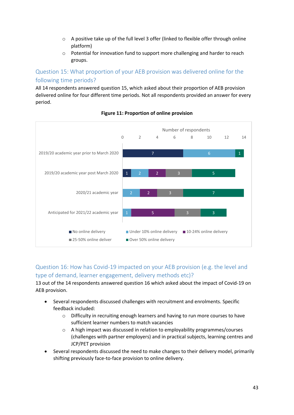- $\circ$  A positive take up of the full level 3 offer (linked to flexible offer through online platform)
- o Potential for innovation fund to support more challenging and harder to reach groups.

Question 15: What proportion of your AEB provision was delivered online for the following time periods?

All 14 respondents answered question 15, which asked about their proportion of AEB provision delivered online for four different time periods. Not all respondents provided an answer for every period.



#### **Figure 11: Proportion of online provision**

Question 16: How has Covid-19 impacted on your AEB provision (e.g. the level and type of demand, learner engagement, delivery methods etc)?

13 out of the 14 respondents answered question 16 which asked about the impact of Covid-19 on AEB provision.

- Several respondents discussed challenges with recruitment and enrolments. Specific feedback included:
	- o Difficulty in recruiting enough learners and having to run more courses to have sufficient learner numbers to match vacancies
	- o A high impact was discussed in relation to employability programmes/courses (challenges with partner employers) and in practical subjects, learning centres and JCP/PET provision
- Several respondents discussed the need to make changes to their delivery model, primarily shifting previously face-to-face provision to online delivery.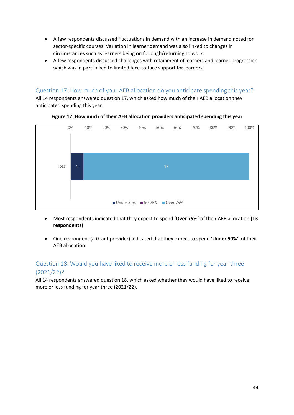- A few respondents discussed fluctuations in demand with an increase in demand noted for sector-specific courses. Variation in learner demand was also linked to changes in circumstances such as learners being on furlough/returning to work.
- A few respondents discussed challenges with retainment of learners and learner progression which was in part linked to limited face-to-face support for learners.

## Question 17: How much of your AEB allocation do you anticipate spending this year?

All 14 respondents answered question 17, which asked how much of their AEB allocation they anticipated spending this year.



#### **Figure 12: How much of their AEB allocation providers anticipated spending this year**

- Most respondents indicated that they expect to spend '**Over 75%´** of their AEB allocation **(13 respondents)**
- One respondent (a Grant provider) indicated that they expect to spend '**Under 50%**' of their AEB allocation.

## Question 18: Would you have liked to receive more or less funding for year three (2021/22)?

All 14 respondents answered question 18, which asked whether they would have liked to receive more or less funding for year three (2021/22).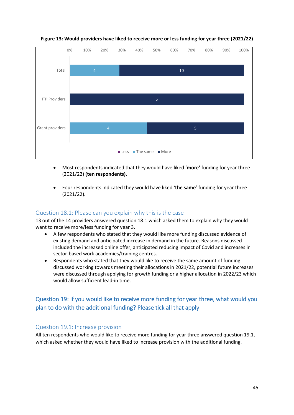

**Figure 13: Would providers have liked to receive more or less funding for year three (2021/22)** 

- Most respondents indicated that they would have liked '**more'** funding for year three (2021/22) **(ten respondents).**
- Four respondents indicated they would have liked '**the same**' funding for year three (2021/22).

#### Question 18.1: Please can you explain why this is the case

13 out of the 14 providers answered question 18.1 which asked them to explain why they would want to receive more/less funding for year 3.

- A few respondents who stated that they would like more funding discussed evidence of existing demand and anticipated increase in demand in the future. Reasons discussed included the increased online offer, anticipated reducing impact of Covid and increases in sector-based work academies/training centres.
- Respondents who stated that they would like to receive the same amount of funding discussed working towards meeting their allocations in 2021/22, potential future increases were discussed through applying for growth funding or a higher allocation in 2022/23 which would allow sufficient lead-in time.

## Question 19: If you would like to receive more funding for year three, what would you plan to do with the additional funding? Please tick all that apply

#### Question 19.1: Increase provision

All ten respondents who would like to receive more funding for year three answered question 19.1, which asked whether they would have liked to increase provision with the additional funding.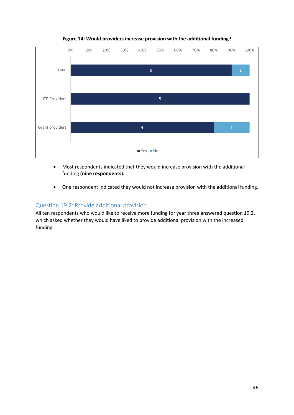

**Figure 14: Would providers increase provision with the additional funding?**

- Most respondents indicated that they would increase provision with the additional funding **(nine respondents).**
- One respondent indicated they would not increase provision with the additional funding.

#### Question 19.2: Provide additional provision

All ten respondents who would like to receive more funding for year three answered question 19.2, which asked whether they would have liked to provide additional provision with the increased funding.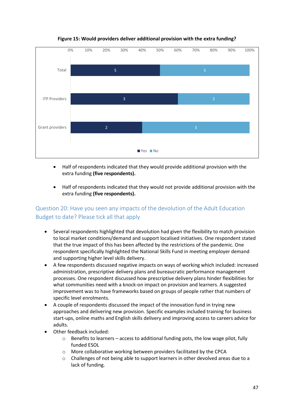

#### **Figure 15: Would providers deliver additional provision with the extra funding?**

- Half of respondents indicated that they would provide additional provision with the extra funding **(five respondents).**
- Half of respondents indicated that they would not provide additional provision with the extra funding **(five respondents).**

## Question 20: Have you seen any impacts of the devolution of the Adult Education Budget to date? Please tick all that apply

- Several respondents highlighted that devolution had given the flexibility to match provision to local market conditions/demand and support localised initiatives. One respondent stated that the true impact of this has been affected by the restrictions of the pandemic. One respondent specifically highlighted the National Skills Fund in meeting employer demand and supporting higher level skills delivery.
- A few respondents discussed negative impacts on ways of working which included: increased administration, prescriptive delivery plans and bureaucratic performance management processes. One respondent discussed how prescriptive delivery plans hinder flexibilities for what communities need with a knock-on impact on provision and learners. A suggested improvement was to have frameworks based on groups of people rather that numbers of specific level enrolments.
- A couple of respondents discussed the impact of the innovation fund in trying new approaches and delivering new provision. Specific examples included training for business start-ups, online maths and English skills delivery and improving access to careers advice for adults.
- Other feedback included:
	- o Benefits to learners access to additional funding pots, the low wage pilot, fully funded ESOL
	- o More collaborative working between providers facilitated by the CPCA
	- o Challenges of not being able to support learners in other devolved areas due to a lack of funding.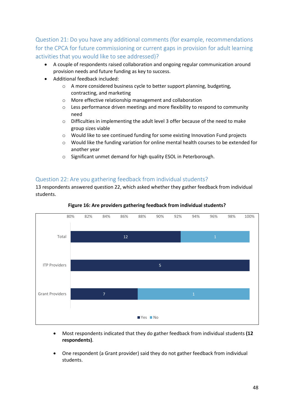Question 21: Do you have any additional comments (for example, recommendations for the CPCA for future commissioning or current gaps in provision for adult learning activities that you would like to see addressed)?

- A couple of respondents raised collaboration and ongoing regular communication around provision needs and future funding as key to success.
- Additional feedback included:
	- o A more considered business cycle to better support planning, budgeting, contracting, and marketing
	- o More effective relationship management and collaboration
	- o Less performance driven meetings and more flexibility to respond to community need
	- o Difficulties in implementing the adult level 3 offer because of the need to make group sizes viable
	- o Would like to see continued funding for some existing Innovation Fund projects
	- o Would like the funding variation for online mental health courses to be extended for another year
	- o Significant unmet demand for high quality ESOL in Peterborough.

## Question 22: Are you gathering feedback from individual students?

13 respondents answered question 22, which asked whether they gather feedback from individual students.



**Figure 16: Are providers gathering feedback from individual students?** 

- Most respondents indicated that they do gather feedback from individual students **(12 respondents)**.
- One respondent (a Grant provider) said they do not gather feedback from individual students.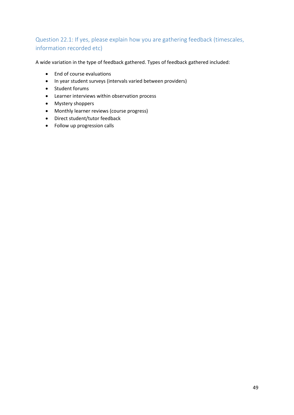## Question 22.1: If yes, please explain how you are gathering feedback (timescales, information recorded etc)

A wide variation in the type of feedback gathered. Types of feedback gathered included:

- End of course evaluations
- In year student surveys (intervals varied between providers)
- Student forums
- Learner interviews within observation process
- Mystery shoppers
- Monthly learner reviews (course progress)
- Direct student/tutor feedback
- Follow up progression calls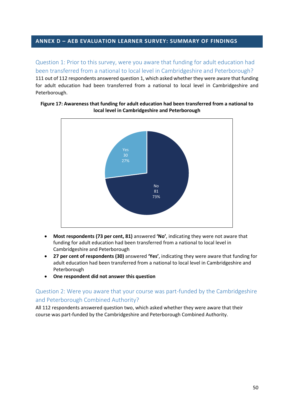#### **ANNEX D – AEB EVALUATION LEARNER SURVEY: SUMMARY OF FINDINGS**

Question 1: Prior to this survey, were you aware that funding for adult education had been transferred from a national to local level in Cambridgeshire and Peterborough? 111 out of 112 respondents answered question 1, which asked whether they were aware that funding for adult education had been transferred from a national to local level in Cambridgeshire and Peterborough.

#### **Figure 17: Awareness that funding for adult education had been transferred from a national to local level in Cambridgeshire and Peterborough**



- **Most respondents (73 per cent, 81)** answered **'No'**, indicating they were not aware that funding for adult education had been transferred from a national to local level in Cambridgeshire and Peterborough
- **27 per cent of respondents (30)** answered **'Yes'**, indicating they were aware that funding for adult education had been transferred from a national to local level in Cambridgeshire and Peterborough
- **One respondent did not answer this question**

## Question 2: Were you aware that your course was part-funded by the Cambridgeshire and Peterborough Combined Authority?

All 112 respondents answered question two, which asked whether they were aware that their course was part-funded by the Cambridgeshire and Peterborough Combined Authority.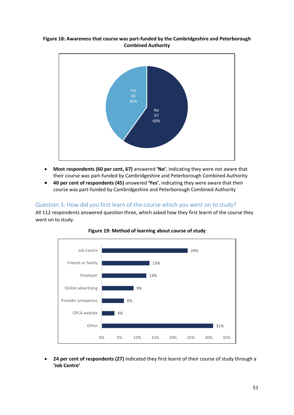#### **Figure 18: Awareness that course was part-funded by the Cambridgeshire and Peterborough Combined Authority**



- **Most respondents (60 per cent, 67)** answered **'No'**, indicating they were not aware that their course was part-funded by Cambridgeshire and Peterborough Combined Authority
- **40 per cent of respondents (45)** answered **'Yes'**, indicating they were aware that their course was part-funded by Cambridgeshire and Peterborough Combined Authority

#### Question 3: How did you first learn of the course which you went on to study?

All 112 respondents answered question three, which asked how they first learnt of the course they went on to study.





• **24 per cent of respondents (27)** indicated they first learnt of their course of study through a **'Job Centre'**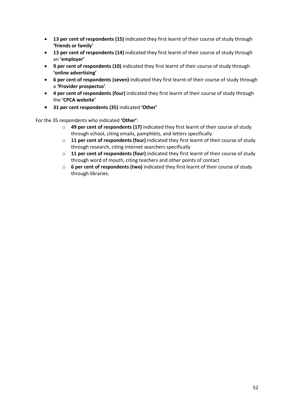- **13 per cent of respondents (15)** indicated they first learnt of their course of study through **'friends or family'**
- **13 per cent of respondents (14)** indicated they first learnt of their course of study through an **'employer'**
- **9 per cent of respondents (10)** indicated they first learnt of their course of study through **'online advertising'**
- **6 per cent of respondents (seven)** indicated they first learnt of their course of study through a **'Provider prospectus'**
- **4 per cent of respondents (four)** indicated they first learnt of their course of study through the **'CPCA website'**
- **31 per cent respondents (35)** indicated **'Other'**

For the 35 respondents who indicated **'Other'**:

- o **49 per cent of respondents (17)** indicated they first learnt of their course of study through school, citing emails, pamphlets, and letters specifically
- o **11 per cent of respondents (four)** indicated they first learnt of their course of study through research, citing internet searchers specifically
- o **11 per cent of respondents (four)** indicated they first learnt of their course of study through word of mouth, citing teachers and other points of contact
- o **6 per cent of respondents (two)** indicated they first learnt of their course of study through libraries.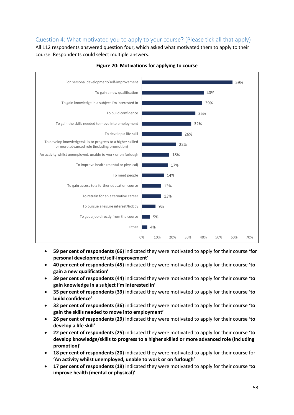## Question 4: What motivated you to apply to your course? (Please tick all that apply)

All 112 respondents answered question four, which asked what motivated them to apply to their course. Respondents could select multiple answers.



#### **Figure 20: Motivations for applying to course**

- **59 per cent of respondents (66)** indicated they were motivated to apply for their course **'for personal development/self-improvement'**
- **40 per cent of respondents (45)** indicated they were motivated to apply for their course **'to gain a new qualification'**
- **39 per cent of respondents (44)** indicated they were motivated to apply for their course **'to gain knowledge in a subject I'm interested in'**
- **35 per cent of respondents (39)** indicated they were motivated to apply for their course **'to build confidence'**
- **32 per cent of respondents (36)** indicated they were motivated to apply for their course **'to gain the skills needed to move into employment'**
- **26 per cent of respondents (29)** indicated they were motivated to apply for their course **'to develop a life skill'**
- **22 per cent of respondents (25)** indicated they were motivated to apply for their course **'to develop knowledge/skills to progress to a higher skilled or more advanced role (including promotion)'**
- **18 per cent of respondents (20)** indicated they were motivated to apply for their course for **'An activity whilst unemployed, unable to work or on furlough'**
- **17 per cent of respondents (19)** indicated they were motivated to apply for their course '**to improve health (mental or physical)'**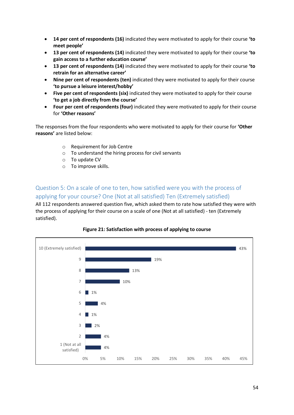- **14 per cent of respondents (16)** indicated they were motivated to apply for their course **'to meet people'**
- **13 per cent of respondents (14)** indicated they were motivated to apply for their course **'to gain access to a further education course'**
- **13 per cent of respondents (14)** indicated they were motivated to apply for their course **'to retrain for an alternative career'**
- **Nine per cent of respondents (ten)** indicated they were motivated to apply for their course **'to pursue a leisure interest/hobby'**
- **Five per cent of respondents (six)** indicated they were motivated to apply for their course **'to get a job directly from the course'**
- **Four per cent of respondents (four)** indicated they were motivated to apply for their course for **'Other reasons'**

The responses from the four respondents who were motivated to apply for their course for **'Other reasons'** are listed below:

- o Requirement for Job Centre
- o To understand the hiring process for civil servants
- o To update CV
- o To improve skills.

Question 5: On a scale of one to ten, how satisfied were you with the process of applying for your course? One (Not at all satisfied) Ten (Extremely satisfied)

All 112 respondents answered question five, which asked them to rate how satisfied they were with the process of applying for their course on a scale of one (Not at all satisfied) - ten (Extremely satisfied).



#### **Figure 21: Satisfaction with process of applying to course**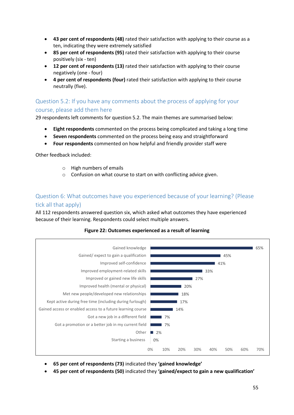- **43 per cent of respondents (48)** rated their satisfaction with applying to their course as a ten, indicating they were extremely satisfied
- **85 per cent of respondents (95)** rated their satisfaction with applying to their course positively (six - ten)
- **12 per cent of respondents (13)** rated their satisfaction with applying to their course negatively (one - four)
- **4 per cent of respondents (four)** rated their satisfaction with applying to their course neutrally (five).

## Question 5.2: If you have any comments about the process of applying for your course, please add them here

29 respondents left comments for question 5.2. The main themes are summarised below:

- **Eight respondents** commented on the process being complicated and taking a long time
- **Seven respondents** commented on the process being easy and straightforward
- **Four respondents** commented on how helpful and friendly provider staff were

Other feedback included:

- o High numbers of emails
- o Confusion on what course to start on with conflicting advice given.

## Question 6: What outcomes have you experienced because of your learning? (Please tick all that apply)

All 112 respondents answered question six, which asked what outcomes they have experienced because of their learning. Respondents could select multiple answers.

#### **Figure 22: Outcomes experienced as a result of learning**



- **65 per cent of respondents (73)** indicated they **'gained knowledge'**
- **45 per cent of respondents (50)** indicated they **'gained/expect to gain a new qualification'**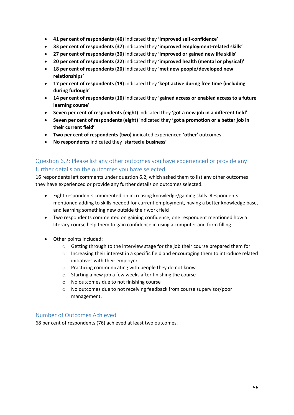- **41 per cent of respondents (46)** indicated they **'improved self-confidence'**
- **33 per cent of respondents (37)** indicated they **'improved employment-related skills'**
- **27 per cent of respondents (30)** indicated they **'improved or gained new life skills'**
- **20 per cent of respondents (22)** indicated they **'improved health (mental or physical)'**
- **18 per cent of respondents (20)** indicated they **'met new people/developed new relationships'**
- **17 per cent of respondents (19)** indicated they **'kept active during free time (including during furlough'**
- **14 per cent of respondents (16)** indicated they **'gained access or enabled access to a future learning course'**
- **Seven per cent of respondents (eight)** indicated they **'got a new job in a different field'**
- **Seven per cent of respondents (eight)** indicated they **'got a promotion or a better job in their current field'**
- **Two per cent of respondents (two)** indicated experienced **'other'** outcomes
- **No respondents** indicated they '**started a business'**

## Question 6.2: Please list any other outcomes you have experienced or provide any further details on the outcomes you have selected

16 respondents left comments under question 6.2, which asked them to list any other outcomes they have experienced or provide any further details on outcomes selected.

- Eight respondents commented on increasing knowledge/gaining skills. Respondents mentioned adding to skills needed for current employment, having a better knowledge base, and learning something new outside their work field
- Two respondents commented on gaining confidence, one respondent mentioned how a literacy course help them to gain confidence in using a computer and form filling.
- Other points included:
	- $\circ$  Getting through to the interview stage for the job their course prepared them for
	- o Increasing their interest in a specific field and encouraging them to introduce related initiatives with their employer
	- o Practicing communicating with people they do not know
	- o Starting a new job a few weeks after finishing the course
	- o No outcomes due to not finishing course
	- o No outcomes due to not receiving feedback from course supervisor/poor management.

#### Number of Outcomes Achieved

68 per cent of respondents (76) achieved at least two outcomes.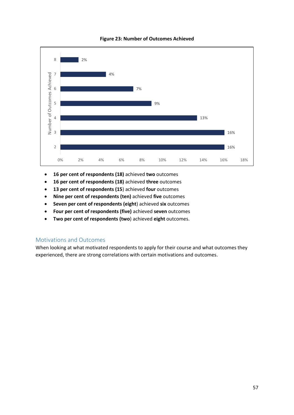

#### **Figure 23: Number of Outcomes Achieved**

- **16 per cent of respondents (18)** achieved **two** outcomes
- **16 per cent of respondents (18)** achieved **three** outcomes
- **13 per cent of respondents (15**) achieved **four** outcomes
- **Nine per cent of respondents (ten)** achieved **five** outcomes
- **Seven per cent of respondents (eight**) achieved **six** outcomes
- **Four per cent of respondents (five)** achieved **seven** outcomes
- **Two per cent of respondents (two**) achieved **eight** outcomes.

#### Motivations and Outcomes

When looking at what motivated respondents to apply for their course and what outcomes they experienced, there are strong correlations with certain motivations and outcomes.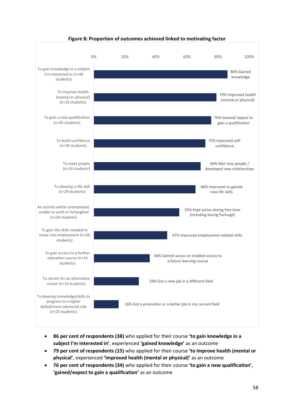

#### **Figure 8: Proportion of outcomes achieved linked to motivating factor**

- **86 per cent of respondents (38)** who applied for their course **'to gain knowledge in a subject I'm interested in'**, experienced **'gained knowledge'** as an outcome
- **79 per cent of respondents (15)** who applied for their course **'to improve health (mental or physical'**, experienced **'improved health (mental or physical)'** as an outcome
- **76 per cent of respondents (34)** who applied for their course **'to gain a new qualification'**, **'gained/expect to gain a qualification'** as an outcome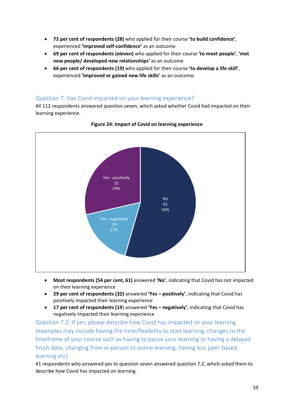- **72 per cent of respondents (28)** who applied for their course **'to build confidence'**, experienced **'improved self-confidence'** as an outcome
- **69 per cent of respondents (eleven)** who applied for their course **'to meet people'**, **'met new people/ developed new relationships'** as an outcome
- **66 per cent of respondents (19)** who applied for their course **'to develop a life skill'**, experienced **'improved or gained new life skills'** as an outcome.

## Question 7: Has Covid impacted on your learning experience?

All 112 respondents answered question seven, which asked whether Covid had impacted on their learning experience.



**Figure 24: Impact of Covid on learning experience** 

- **Most respondents (54 per cent, 61)** answered **'No'**, indicating that Covid has not impacted on their learning experience
- **29 per cent of respondents (32)** answered **'Yes – positively'**, indicating that Covid has positively impacted their learning experience
- **17 per cent of respondents (19**) answered **'Yes – negatively'**, indicating that Covid has negatively impacted their learning experience

Question 7.2: If yes, please describe how Covid has impacted on your learning (examples may include having the time/flexibility to start learning, changes to the timeframe of your course such as having to pause your learning or having a delayed finish date, changing from in-person to online learning, having less peer-based learning etc).

41 respondents who answered yes to question seven answered question 7.2, which asked them to describe how Covid has impacted on learning.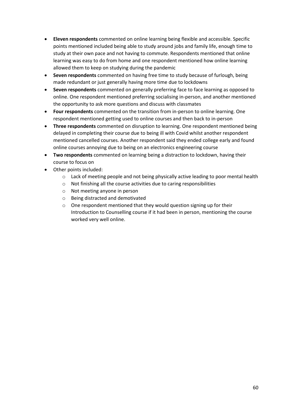- **Eleven respondents** commented on online learning being flexible and accessible. Specific points mentioned included being able to study around jobs and family life, enough time to study at their own pace and not having to commute. Respondents mentioned that online learning was easy to do from home and one respondent mentioned how online learning allowed them to keep on studying during the pandemic
- **Seven respondents** commented on having free time to study because of furlough, being made redundant or just generally having more time due to lockdowns
- **Seven respondents** commented on generally preferring face to face learning as opposed to online. One respondent mentioned preferring socialising in-person, and another mentioned the opportunity to ask more questions and discuss with classmates
- **Four respondents** commented on the transition from in-person to online learning. One respondent mentioned getting used to online courses and then back to in-person
- **Three respondents** commented on disruption to learning. One respondent mentioned being delayed in completing their course due to being ill with Covid whilst another respondent mentioned cancelled courses. Another respondent said they ended college early and found online courses annoying due to being on an electronics engineering course
- **Two respondents** commented on learning being a distraction to lockdown, having their course to focus on
- Other points included:
	- $\circ$  Lack of meeting people and not being physically active leading to poor mental health
	- o Not finishing all the course activities due to caring responsibilities
	- o Not meeting anyone in person
	- o Being distracted and demotivated
	- o One respondent mentioned that they would question signing up for their Introduction to Counselling course if it had been in person, mentioning the course worked very well online.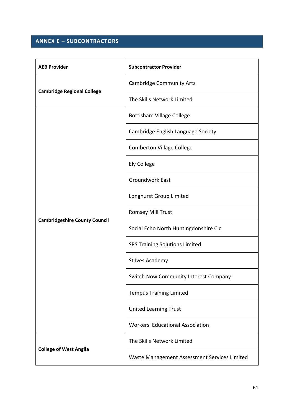## **ANNEX E – SUBCONTRACTORS**

| <b>AEB Provider</b>                  | <b>Subcontractor Provider</b>                |  |
|--------------------------------------|----------------------------------------------|--|
| <b>Cambridge Regional College</b>    | <b>Cambridge Community Arts</b>              |  |
|                                      | The Skills Network Limited                   |  |
|                                      | <b>Bottisham Village College</b>             |  |
|                                      | Cambridge English Language Society           |  |
|                                      | <b>Comberton Village College</b>             |  |
|                                      | <b>Ely College</b>                           |  |
|                                      | <b>Groundwork East</b>                       |  |
|                                      | Longhurst Group Limited                      |  |
| <b>Cambridgeshire County Council</b> | Romsey Mill Trust                            |  |
|                                      | Social Echo North Huntingdonshire Cic        |  |
|                                      | <b>SPS Training Solutions Limited</b>        |  |
|                                      | St Ives Academy                              |  |
|                                      | Switch Now Community Interest Company        |  |
|                                      | <b>Tempus Training Limited</b>               |  |
|                                      | <b>United Learning Trust</b>                 |  |
|                                      | <b>Workers' Educational Association</b>      |  |
| <b>College of West Anglia</b>        | The Skills Network Limited                   |  |
|                                      | Waste Management Assessment Services Limited |  |